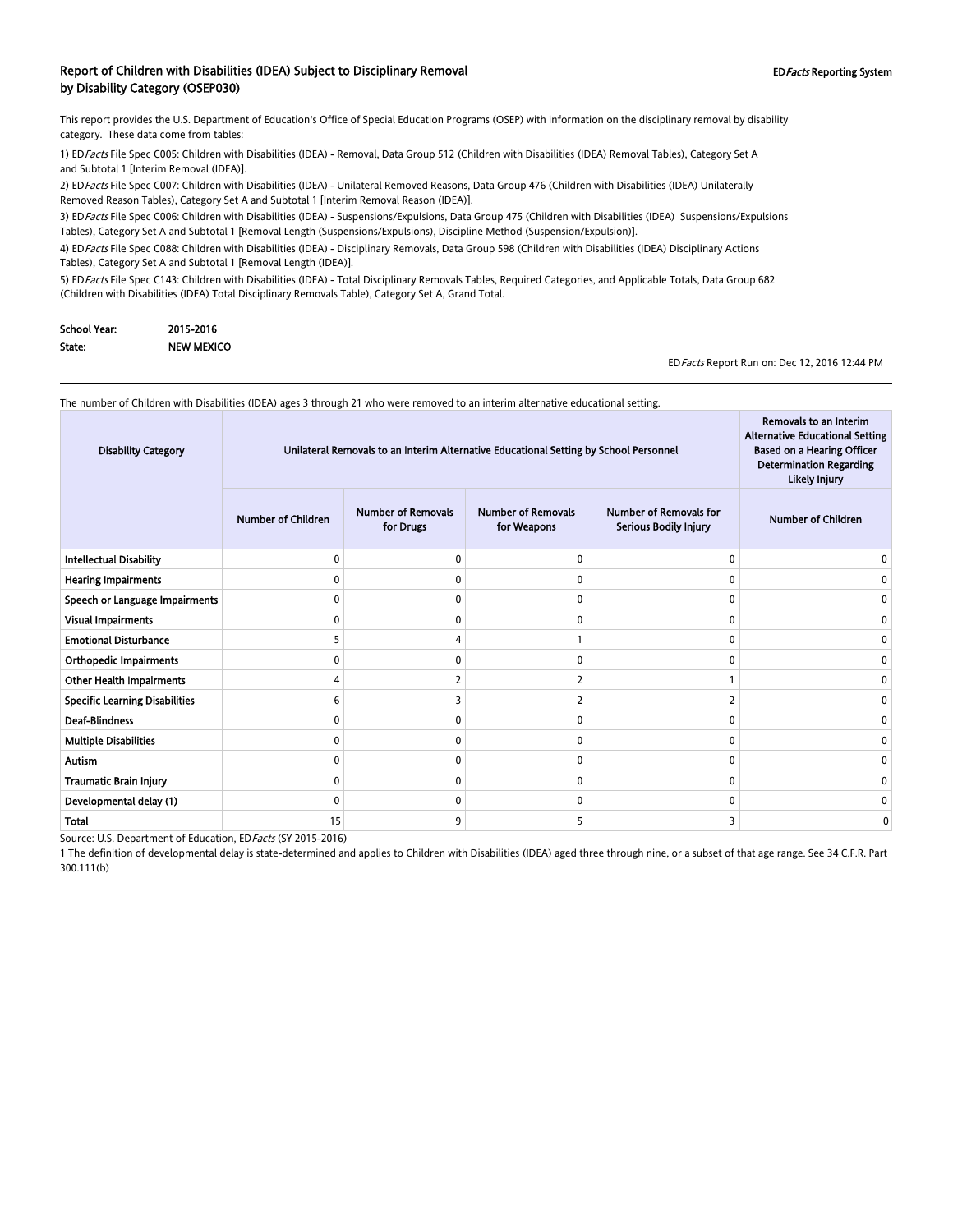#### Report of Children with Disabilities (IDEA) Subject to Disciplinary Removal **EDFacts Reporting System** EDFacts Reporting System by Disability Category (OSEP030)

This report provides the U.S. Department of Education's Office of Special Education Programs (OSEP) with information on the disciplinary removal by disability category. These data come from tables:

1) EDFacts File Spec C005: Children with Disabilities (IDEA) - Removal, Data Group 512 (Children with Disabilities (IDEA) Removal Tables), Category Set A and Subtotal 1 [Interim Removal (IDEA)].

2) ED Facts File Spec C007: Children with Disabilities (IDEA) - Unilateral Removed Reasons, Data Group 476 (Children with Disabilities (IDEA) Unilaterally Removed Reason Tables), Category Set A and Subtotal 1 [Interim Removal Reason (IDEA)].

3) ED Facts File Spec C006: Children with Disabilities (IDEA) - Suspensions/Expulsions, Data Group 475 (Children with Disabilities (IDEA) Suspensions/Expulsions Tables), Category Set A and Subtotal 1 [Removal Length (Suspensions/Expulsions), Discipline Method (Suspension/Expulsion)].

4) EDFacts File Spec C088: Children with Disabilities (IDEA) - Disciplinary Removals, Data Group 598 (Children with Disabilities (IDEA) Disciplinary Actions Tables), Category Set A and Subtotal 1 [Removal Length (IDEA)].

5) ED Facts File Spec C143: Children with Disabilities (IDEA) - Total Disciplinary Removals Tables, Required Categories, and Applicable Totals, Data Group 682 (Children with Disabilities (IDEA) Total Disciplinary Removals Table), Category Set A, Grand Total.

| School Year: | 2015-2016         |
|--------------|-------------------|
| State:       | <b>NEW MEXICO</b> |

EDFacts Report Run on: Dec 12, 2016 12:44 PM

Removals to an Interim

The number of Children with Disabilities (IDEA) ages 3 through 21 who were removed to an interim alternative educational setting.

| <b>Number of Removals</b><br><b>Number of Removals</b><br><b>Number of Removals for</b><br><b>Number of Children</b><br><b>Number of Children</b><br>for Drugs<br>for Weapons<br>Serious Bodily Injury<br><b>Intellectual Disability</b><br>$\mathbf{0}$<br>0<br>0<br>$\Omega$<br><b>Hearing Impairments</b><br>0<br>$\Omega$<br>ŋ<br>Speech or Language Impairments<br>0<br>0<br>$\Omega$<br>$\mathbf{0}$<br><b>Visual Impairments</b><br>$\mathbf{0}$<br>0<br>0<br>$\Omega$<br><b>Emotional Disturbance</b><br>0<br><b>Orthopedic Impairments</b><br>$\mathbf{0}$<br>0<br>0<br>ŋ<br><b>Other Health Impairments</b><br><b>Specific Learning Disabilities</b><br>2<br>6<br>2<br>0<br><b>Deaf-Blindness</b><br>$\mathbf{0}$<br>0<br>0<br>n<br>n<br><b>Multiple Disabilities</b><br>$\mathbf{0}$<br>0<br>0<br>$\Omega$<br><b>Autism</b><br>0<br>0<br>0<br>$\mathbf{0}$<br>0<br>Traumatic Brain Injury<br>0<br>0<br>$\mathbf{0}$<br>n<br>O<br>Developmental delay (1)<br>0<br>0<br>$\mathbf{0}$<br>O<br>Total<br>15<br>9<br>3<br>5<br>0 | <b>Disability Category</b> | Unilateral Removals to an Interim Alternative Educational Setting by School Personnel |  |  |  | Removals to an Interim<br><b>Alternative Educational Setting</b><br><b>Based on a Hearing Officer</b><br><b>Determination Regarding</b><br>Likely Injury |
|---------------------------------------------------------------------------------------------------------------------------------------------------------------------------------------------------------------------------------------------------------------------------------------------------------------------------------------------------------------------------------------------------------------------------------------------------------------------------------------------------------------------------------------------------------------------------------------------------------------------------------------------------------------------------------------------------------------------------------------------------------------------------------------------------------------------------------------------------------------------------------------------------------------------------------------------------------------------------------------------------------------------------------------|----------------------------|---------------------------------------------------------------------------------------|--|--|--|----------------------------------------------------------------------------------------------------------------------------------------------------------|
|                                                                                                                                                                                                                                                                                                                                                                                                                                                                                                                                                                                                                                                                                                                                                                                                                                                                                                                                                                                                                                       |                            |                                                                                       |  |  |  |                                                                                                                                                          |
|                                                                                                                                                                                                                                                                                                                                                                                                                                                                                                                                                                                                                                                                                                                                                                                                                                                                                                                                                                                                                                       |                            |                                                                                       |  |  |  |                                                                                                                                                          |
|                                                                                                                                                                                                                                                                                                                                                                                                                                                                                                                                                                                                                                                                                                                                                                                                                                                                                                                                                                                                                                       |                            |                                                                                       |  |  |  |                                                                                                                                                          |
|                                                                                                                                                                                                                                                                                                                                                                                                                                                                                                                                                                                                                                                                                                                                                                                                                                                                                                                                                                                                                                       |                            |                                                                                       |  |  |  |                                                                                                                                                          |
|                                                                                                                                                                                                                                                                                                                                                                                                                                                                                                                                                                                                                                                                                                                                                                                                                                                                                                                                                                                                                                       |                            |                                                                                       |  |  |  |                                                                                                                                                          |
|                                                                                                                                                                                                                                                                                                                                                                                                                                                                                                                                                                                                                                                                                                                                                                                                                                                                                                                                                                                                                                       |                            |                                                                                       |  |  |  |                                                                                                                                                          |
|                                                                                                                                                                                                                                                                                                                                                                                                                                                                                                                                                                                                                                                                                                                                                                                                                                                                                                                                                                                                                                       |                            |                                                                                       |  |  |  |                                                                                                                                                          |
|                                                                                                                                                                                                                                                                                                                                                                                                                                                                                                                                                                                                                                                                                                                                                                                                                                                                                                                                                                                                                                       |                            |                                                                                       |  |  |  |                                                                                                                                                          |
|                                                                                                                                                                                                                                                                                                                                                                                                                                                                                                                                                                                                                                                                                                                                                                                                                                                                                                                                                                                                                                       |                            |                                                                                       |  |  |  |                                                                                                                                                          |
|                                                                                                                                                                                                                                                                                                                                                                                                                                                                                                                                                                                                                                                                                                                                                                                                                                                                                                                                                                                                                                       |                            |                                                                                       |  |  |  |                                                                                                                                                          |
|                                                                                                                                                                                                                                                                                                                                                                                                                                                                                                                                                                                                                                                                                                                                                                                                                                                                                                                                                                                                                                       |                            |                                                                                       |  |  |  |                                                                                                                                                          |
|                                                                                                                                                                                                                                                                                                                                                                                                                                                                                                                                                                                                                                                                                                                                                                                                                                                                                                                                                                                                                                       |                            |                                                                                       |  |  |  |                                                                                                                                                          |
|                                                                                                                                                                                                                                                                                                                                                                                                                                                                                                                                                                                                                                                                                                                                                                                                                                                                                                                                                                                                                                       |                            |                                                                                       |  |  |  |                                                                                                                                                          |
|                                                                                                                                                                                                                                                                                                                                                                                                                                                                                                                                                                                                                                                                                                                                                                                                                                                                                                                                                                                                                                       |                            |                                                                                       |  |  |  |                                                                                                                                                          |
|                                                                                                                                                                                                                                                                                                                                                                                                                                                                                                                                                                                                                                                                                                                                                                                                                                                                                                                                                                                                                                       |                            |                                                                                       |  |  |  |                                                                                                                                                          |

Source: U.S. Department of Education, EDFacts (SY 2015-2016)

1 The definition of developmental delay is state-determined and applies to Children with Disabilities (IDEA) aged three through nine, or a subset of that age range. See 34 C.F.R. Part 300.111(b)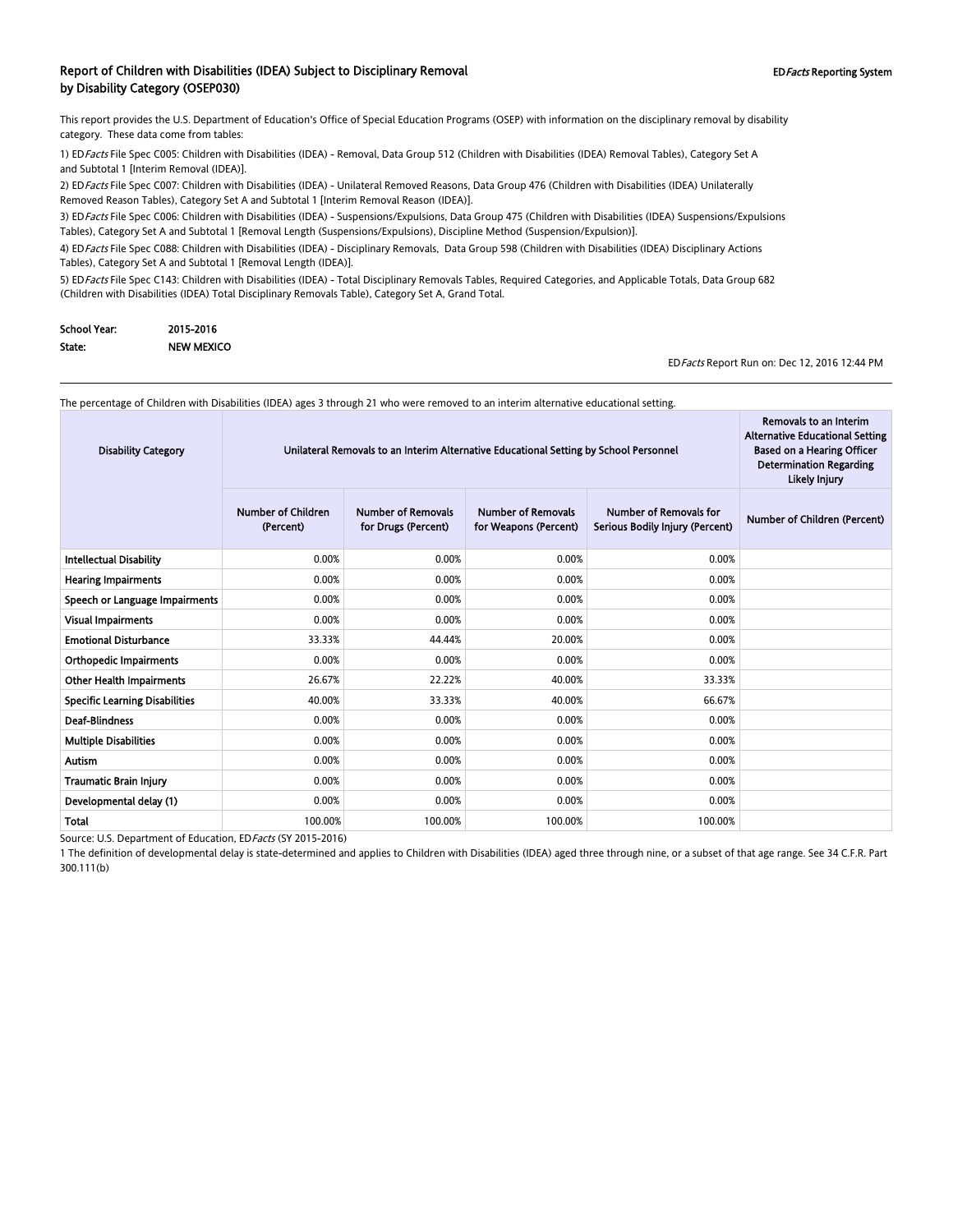#### Report of Children with Disabilities (IDEA) Subject to Disciplinary Removal **EDFacts Reporting System** EDFacts Reporting System by Disability Category (OSEP030)

This report provides the U.S. Department of Education's Office of Special Education Programs (OSEP) with information on the disciplinary removal by disability category. These data come from tables:

1) EDFacts File Spec C005: Children with Disabilities (IDEA) - Removal, Data Group 512 (Children with Disabilities (IDEA) Removal Tables), Category Set A and Subtotal 1 [Interim Removal (IDEA)].

2) EDFacts File Spec C007: Children with Disabilities (IDEA) - Unilateral Removed Reasons, Data Group 476 (Children with Disabilities (IDEA) Unilaterally Removed Reason Tables), Category Set A and Subtotal 1 [Interim Removal Reason (IDEA)].

3) ED Facts File Spec C006: Children with Disabilities (IDEA) - Suspensions/Expulsions, Data Group 475 (Children with Disabilities (IDEA) Suspensions/Expulsions Tables), Category Set A and Subtotal 1 [Removal Length (Suspensions/Expulsions), Discipline Method (Suspension/Expulsion)].

4) EDFacts File Spec C088: Children with Disabilities (IDEA) - Disciplinary Removals, Data Group 598 (Children with Disabilities (IDEA) Disciplinary Actions Tables), Category Set A and Subtotal 1 [Removal Length (IDEA)].

5) ED Facts File Spec C143: Children with Disabilities (IDEA) - Total Disciplinary Removals Tables, Required Categories, and Applicable Totals, Data Group 682 (Children with Disabilities (IDEA) Total Disciplinary Removals Table), Category Set A, Grand Total.

| School Year: | 2015-2016         |
|--------------|-------------------|
| State:       | <b>NEW MEXICO</b> |

EDFacts Report Run on: Dec 12, 2016 12:44 PM

Removals to an Interim

 $\sim$ 

The percentage of Children with Disabilities (IDEA) ages 3 through 21 who were removed to an interim alternative educational setting.

| <b>Disability Category</b>            | Unilateral Removals to an Interim Alternative Educational Setting by School Personnel |                                                  |                                                    |                                                                  | Removals to an Interim<br><b>Alternative Educational Setting</b><br><b>Based on a Hearing Officer</b><br><b>Determination Regarding</b><br>Likely Injury |
|---------------------------------------|---------------------------------------------------------------------------------------|--------------------------------------------------|----------------------------------------------------|------------------------------------------------------------------|----------------------------------------------------------------------------------------------------------------------------------------------------------|
|                                       | <b>Number of Children</b><br>(Percent)                                                | <b>Number of Removals</b><br>for Drugs (Percent) | <b>Number of Removals</b><br>for Weapons (Percent) | <b>Number of Removals for</b><br>Serious Bodily Injury (Percent) | Number of Children (Percent)                                                                                                                             |
| <b>Intellectual Disability</b>        | 0.00%                                                                                 | 0.00%                                            | 0.00%                                              | 0.00%                                                            |                                                                                                                                                          |
| <b>Hearing Impairments</b>            | 0.00%                                                                                 | 0.00%                                            | 0.00%                                              | 0.00%                                                            |                                                                                                                                                          |
| Speech or Language Impairments        | 0.00%                                                                                 | 0.00%                                            | 0.00%                                              | 0.00%                                                            |                                                                                                                                                          |
| Visual Impairments                    | 0.00%                                                                                 | 0.00%                                            | 0.00%                                              | 0.00%                                                            |                                                                                                                                                          |
| <b>Emotional Disturbance</b>          | 33.33%                                                                                | 44.44%                                           | 20.00%                                             | 0.00%                                                            |                                                                                                                                                          |
| <b>Orthopedic Impairments</b>         | 0.00%                                                                                 | 0.00%                                            | 0.00%                                              | 0.00%                                                            |                                                                                                                                                          |
| <b>Other Health Impairments</b>       | 26.67%                                                                                | 22.22%                                           | 40.00%                                             | 33.33%                                                           |                                                                                                                                                          |
| <b>Specific Learning Disabilities</b> | 40.00%                                                                                | 33.33%                                           | 40.00%                                             | 66.67%                                                           |                                                                                                                                                          |
| <b>Deaf-Blindness</b>                 | 0.00%                                                                                 | 0.00%                                            | 0.00%                                              | 0.00%                                                            |                                                                                                                                                          |
| <b>Multiple Disabilities</b>          | 0.00%                                                                                 | 0.00%                                            | 0.00%                                              | 0.00%                                                            |                                                                                                                                                          |
| <b>Autism</b>                         | 0.00%                                                                                 | 0.00%                                            | 0.00%                                              | 0.00%                                                            |                                                                                                                                                          |
| Traumatic Brain Injury                | 0.00%                                                                                 | 0.00%                                            | 0.00%                                              | 0.00%                                                            |                                                                                                                                                          |
| Developmental delay (1)               | 0.00%                                                                                 | 0.00%                                            | 0.00%                                              | 0.00%                                                            |                                                                                                                                                          |
| Total                                 | 100.00%                                                                               | 100.00%                                          | 100.00%                                            | 100.00%                                                          |                                                                                                                                                          |

Source: U.S. Department of Education, EDFacts (SY 2015-2016)

1 The definition of developmental delay is state-determined and applies to Children with Disabilities (IDEA) aged three through nine, or a subset of that age range. See 34 C.F.R. Part 300.111(b)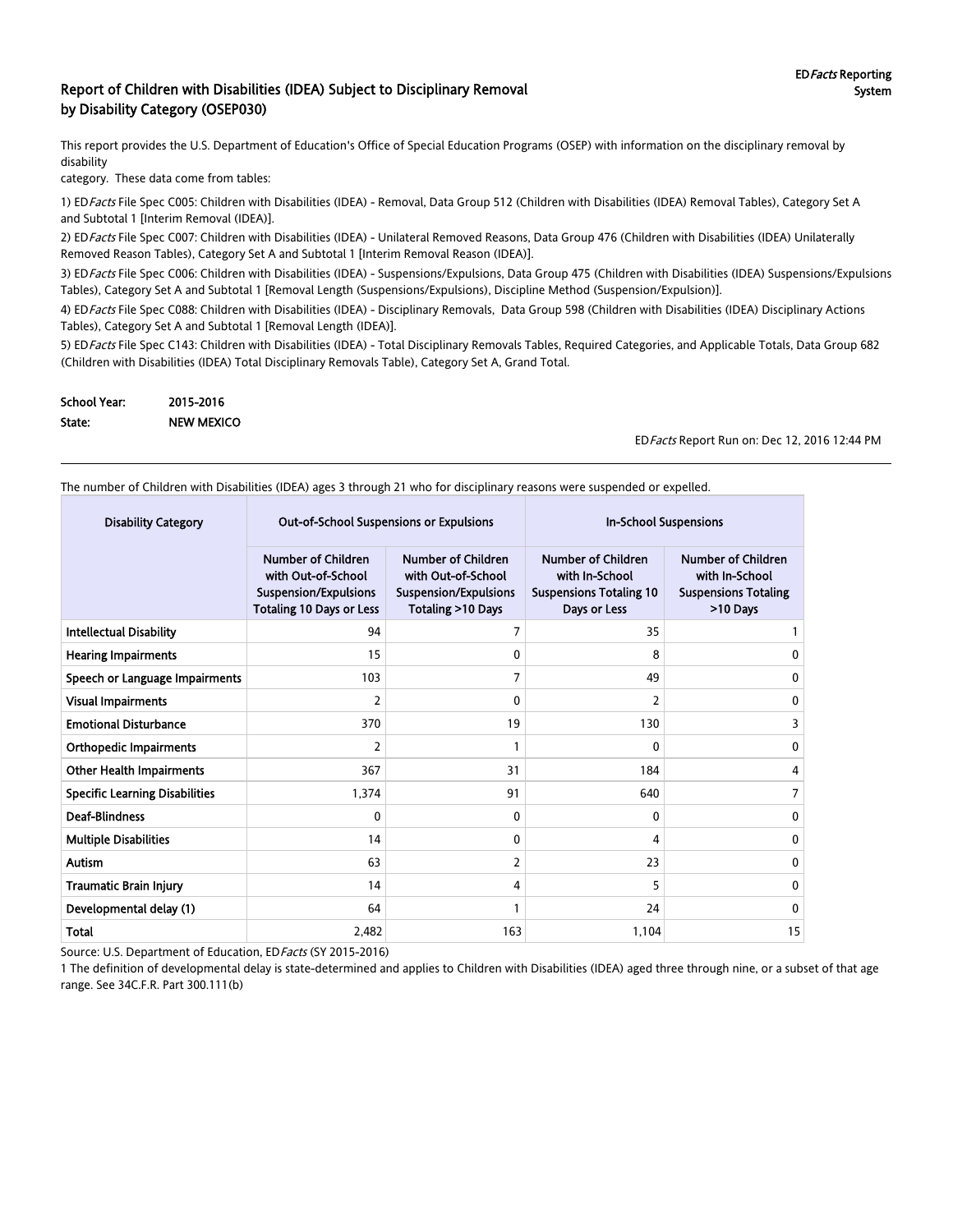#### Report of Children with Disabilities (IDEA) Subject to Disciplinary Removal by Disability Category (OSEP030)

This report provides the U.S. Department of Education's Office of Special Education Programs (OSEP) with information on the disciplinary removal by disability

category. These data come from tables:

1) ED Facts File Spec C005: Children with Disabilities (IDEA) - Removal, Data Group 512 (Children with Disabilities (IDEA) Removal Tables), Category Set A and Subtotal 1 [Interim Removal (IDEA)].

2) EDFacts File Spec C007: Children with Disabilities (IDEA) - Unilateral Removed Reasons, Data Group 476 (Children with Disabilities (IDEA) Unilaterally Removed Reason Tables), Category Set A and Subtotal 1 [Interim Removal Reason (IDEA)].

3) EDFacts File Spec C006: Children with Disabilities (IDEA) - Suspensions/Expulsions, Data Group 475 (Children with Disabilities (IDEA) Suspensions/Expulsions Tables), Category Set A and Subtotal 1 [Removal Length (Suspensions/Expulsions), Discipline Method (Suspension/Expulsion)].

4) EDFacts File Spec C088: Children with Disabilities (IDEA) - Disciplinary Removals, Data Group 598 (Children with Disabilities (IDEA) Disciplinary Actions Tables), Category Set A and Subtotal 1 [Removal Length (IDEA)].

5) ED Facts File Spec C143: Children with Disabilities (IDEA) - Total Disciplinary Removals Tables, Required Categories, and Applicable Totals, Data Group 682 (Children with Disabilities (IDEA) Total Disciplinary Removals Table), Category Set A, Grand Total.

| School Year: | 2015-2016         |
|--------------|-------------------|
| State:       | <b>NEW MEXICO</b> |

EDFacts Report Run on: Dec 12, 2016 12:44 PM

The number of Children with Disabilities (IDEA) ages 3 through 21 who for disciplinary reasons were suspended or expelled.

| <b>Disability Category</b>            | <b>Out-of-School Suspensions or Expulsions</b>                                                                     |                                                                                                      | <b>In-School Suspensions</b>                                                                  |                                                                                        |  |
|---------------------------------------|--------------------------------------------------------------------------------------------------------------------|------------------------------------------------------------------------------------------------------|-----------------------------------------------------------------------------------------------|----------------------------------------------------------------------------------------|--|
|                                       | <b>Number of Children</b><br>with Out-of-School<br><b>Suspension/Expulsions</b><br><b>Totaling 10 Days or Less</b> | <b>Number of Children</b><br>with Out-of-School<br><b>Suspension/Expulsions</b><br>Totaling >10 Days | <b>Number of Children</b><br>with In-School<br><b>Suspensions Totaling 10</b><br>Days or Less | <b>Number of Children</b><br>with In-School<br><b>Suspensions Totaling</b><br>>10 Days |  |
| <b>Intellectual Disability</b>        | 94                                                                                                                 | 7                                                                                                    | 35                                                                                            |                                                                                        |  |
| <b>Hearing Impairments</b>            | 15                                                                                                                 | 0                                                                                                    | 8                                                                                             | 0                                                                                      |  |
| Speech or Language Impairments        | 103                                                                                                                | 7                                                                                                    | 49                                                                                            | 0                                                                                      |  |
| <b>Visual Impairments</b>             | $\overline{2}$                                                                                                     | 0                                                                                                    | 2                                                                                             | 0                                                                                      |  |
| <b>Emotional Disturbance</b>          | 370                                                                                                                | 19                                                                                                   | 130                                                                                           | 3                                                                                      |  |
| <b>Orthopedic Impairments</b>         | $\overline{2}$                                                                                                     |                                                                                                      | $\Omega$                                                                                      | 0                                                                                      |  |
| <b>Other Health Impairments</b>       | 367                                                                                                                | 31                                                                                                   | 184                                                                                           | 4                                                                                      |  |
| <b>Specific Learning Disabilities</b> | 1,374                                                                                                              | 91                                                                                                   | 640                                                                                           | 7                                                                                      |  |
| <b>Deaf-Blindness</b>                 | 0                                                                                                                  | 0                                                                                                    | $\Omega$                                                                                      | 0                                                                                      |  |
| <b>Multiple Disabilities</b>          | 14                                                                                                                 | 0                                                                                                    | 4                                                                                             | $\mathbf{0}$                                                                           |  |
| Autism                                | 63                                                                                                                 | 2                                                                                                    | 23                                                                                            | $\mathbf{0}$                                                                           |  |
| <b>Traumatic Brain Injury</b>         | 14                                                                                                                 | 4                                                                                                    | 5                                                                                             | 0                                                                                      |  |
| Developmental delay (1)               | 64                                                                                                                 |                                                                                                      | 24                                                                                            | 0                                                                                      |  |
| <b>Total</b>                          | 2,482                                                                                                              | 163                                                                                                  | 1,104                                                                                         | 15                                                                                     |  |

Source: U.S. Department of Education, ED Facts (SY 2015-2016)

1 The definition of developmental delay is state-determined and applies to Children with Disabilities (IDEA) aged three through nine, or a subset of that age range. See 34C.F.R. Part 300.111(b)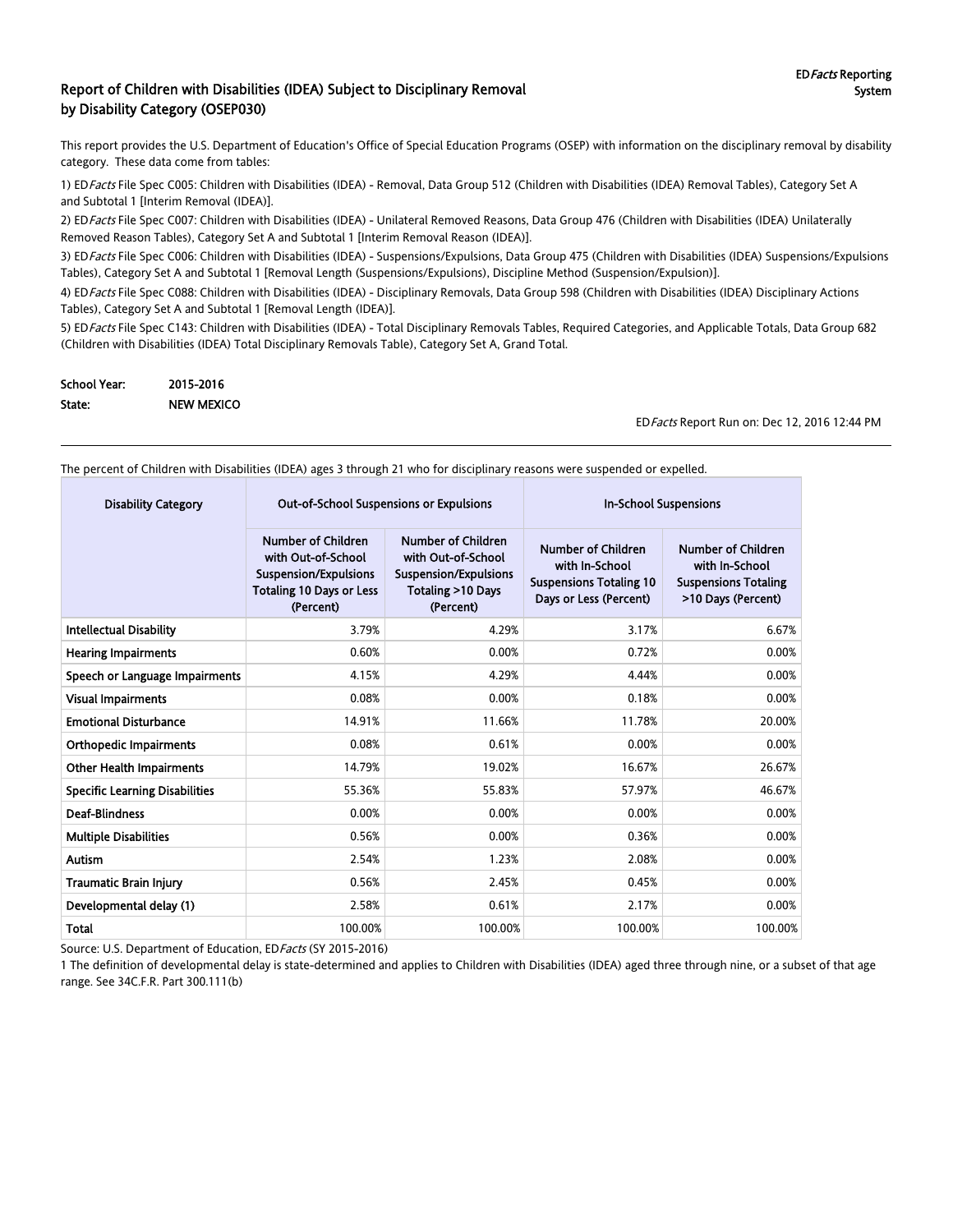#### Report of Children with Disabilities (IDEA) Subject to Disciplinary Removal by Disability Category (OSEP030)

This report provides the U.S. Department of Education's Office of Special Education Programs (OSEP) with information on the disciplinary removal by disability category. These data come from tables:

1) EDFacts File Spec C005: Children with Disabilities (IDEA) - Removal, Data Group 512 (Children with Disabilities (IDEA) Removal Tables), Category Set A and Subtotal 1 [Interim Removal (IDEA)].

2) ED Facts File Spec C007: Children with Disabilities (IDEA) - Unilateral Removed Reasons, Data Group 476 (Children with Disabilities (IDEA) Unilaterally Removed Reason Tables), Category Set A and Subtotal 1 [Interim Removal Reason (IDEA)].

3) ED Facts File Spec C006: Children with Disabilities (IDEA) - Suspensions/Expulsions, Data Group 475 (Children with Disabilities (IDEA) Suspensions/Expulsions Tables), Category Set A and Subtotal 1 [Removal Length (Suspensions/Expulsions), Discipline Method (Suspension/Expulsion)].

4) ED Facts File Spec C088: Children with Disabilities (IDEA) - Disciplinary Removals, Data Group 598 (Children with Disabilities (IDEA) Disciplinary Actions Tables), Category Set A and Subtotal 1 [Removal Length (IDEA)].

5) ED Facts File Spec C143: Children with Disabilities (IDEA) - Total Disciplinary Removals Tables, Required Categories, and Applicable Totals, Data Group 682 (Children with Disabilities (IDEA) Total Disciplinary Removals Table), Category Set A, Grand Total.

| School Year: | 2015-2016         |
|--------------|-------------------|
| State:       | <b>NEW MEXICO</b> |

EDFacts Report Run on: Dec 12, 2016 12:44 PM

The percent of Children with Disabilities (IDEA) ages 3 through 21 who for disciplinary reasons were suspended or expelled.

| <b>Disability Category</b>            | <b>Out-of-School Suspensions or Expulsions</b>                                                                                  |                                                                                                                             | <b>In-School Suspensions</b>                                                                            |                                                                                                  |  |
|---------------------------------------|---------------------------------------------------------------------------------------------------------------------------------|-----------------------------------------------------------------------------------------------------------------------------|---------------------------------------------------------------------------------------------------------|--------------------------------------------------------------------------------------------------|--|
|                                       | <b>Number of Children</b><br>with Out-of-School<br><b>Suspension/Expulsions</b><br><b>Totaling 10 Days or Less</b><br>(Percent) | <b>Number of Children</b><br>with Out-of-School<br><b>Suspension/Expulsions</b><br><b>Totaling &gt;10 Days</b><br>(Percent) | <b>Number of Children</b><br>with In-School<br><b>Suspensions Totaling 10</b><br>Days or Less (Percent) | <b>Number of Children</b><br>with In-School<br><b>Suspensions Totaling</b><br>>10 Days (Percent) |  |
| <b>Intellectual Disability</b>        | 3.79%                                                                                                                           | 4.29%                                                                                                                       | 3.17%                                                                                                   | 6.67%                                                                                            |  |
| <b>Hearing Impairments</b>            | 0.60%                                                                                                                           | 0.00%                                                                                                                       | 0.72%                                                                                                   | 0.00%                                                                                            |  |
| Speech or Language Impairments        | 4.15%                                                                                                                           | 4.29%                                                                                                                       | 4.44%                                                                                                   | 0.00%                                                                                            |  |
| <b>Visual Impairments</b>             | 0.08%                                                                                                                           | 0.00%                                                                                                                       | 0.18%                                                                                                   | 0.00%                                                                                            |  |
| <b>Emotional Disturbance</b>          | 14.91%                                                                                                                          | 11.66%                                                                                                                      | 11.78%                                                                                                  | 20.00%                                                                                           |  |
| <b>Orthopedic Impairments</b>         | 0.08%                                                                                                                           | 0.61%                                                                                                                       | 0.00%                                                                                                   | 0.00%                                                                                            |  |
| <b>Other Health Impairments</b>       | 14.79%                                                                                                                          | 19.02%                                                                                                                      | 16.67%                                                                                                  | 26.67%                                                                                           |  |
| <b>Specific Learning Disabilities</b> | 55.36%                                                                                                                          | 55.83%                                                                                                                      | 57.97%                                                                                                  | 46.67%                                                                                           |  |
| <b>Deaf-Blindness</b>                 | 0.00%                                                                                                                           | 0.00%                                                                                                                       | 0.00%                                                                                                   | 0.00%                                                                                            |  |
| <b>Multiple Disabilities</b>          | 0.56%                                                                                                                           | 0.00%                                                                                                                       | 0.36%                                                                                                   | 0.00%                                                                                            |  |
| Autism                                | 2.54%                                                                                                                           | 1.23%                                                                                                                       | 2.08%                                                                                                   | 0.00%                                                                                            |  |
| <b>Traumatic Brain Injury</b>         | 0.56%                                                                                                                           | 2.45%                                                                                                                       | 0.45%                                                                                                   | 0.00%                                                                                            |  |
| Developmental delay (1)               | 2.58%                                                                                                                           | 0.61%                                                                                                                       | 2.17%                                                                                                   | 0.00%                                                                                            |  |
| <b>Total</b>                          | 100.00%                                                                                                                         | 100.00%                                                                                                                     | 100.00%                                                                                                 | 100.00%                                                                                          |  |

Source: U.S. Department of Education, ED Facts (SY 2015-2016)

1 The definition of developmental delay is state-determined and applies to Children with Disabilities (IDEA) aged three through nine, or a subset of that age range. See 34C.F.R. Part 300.111(b)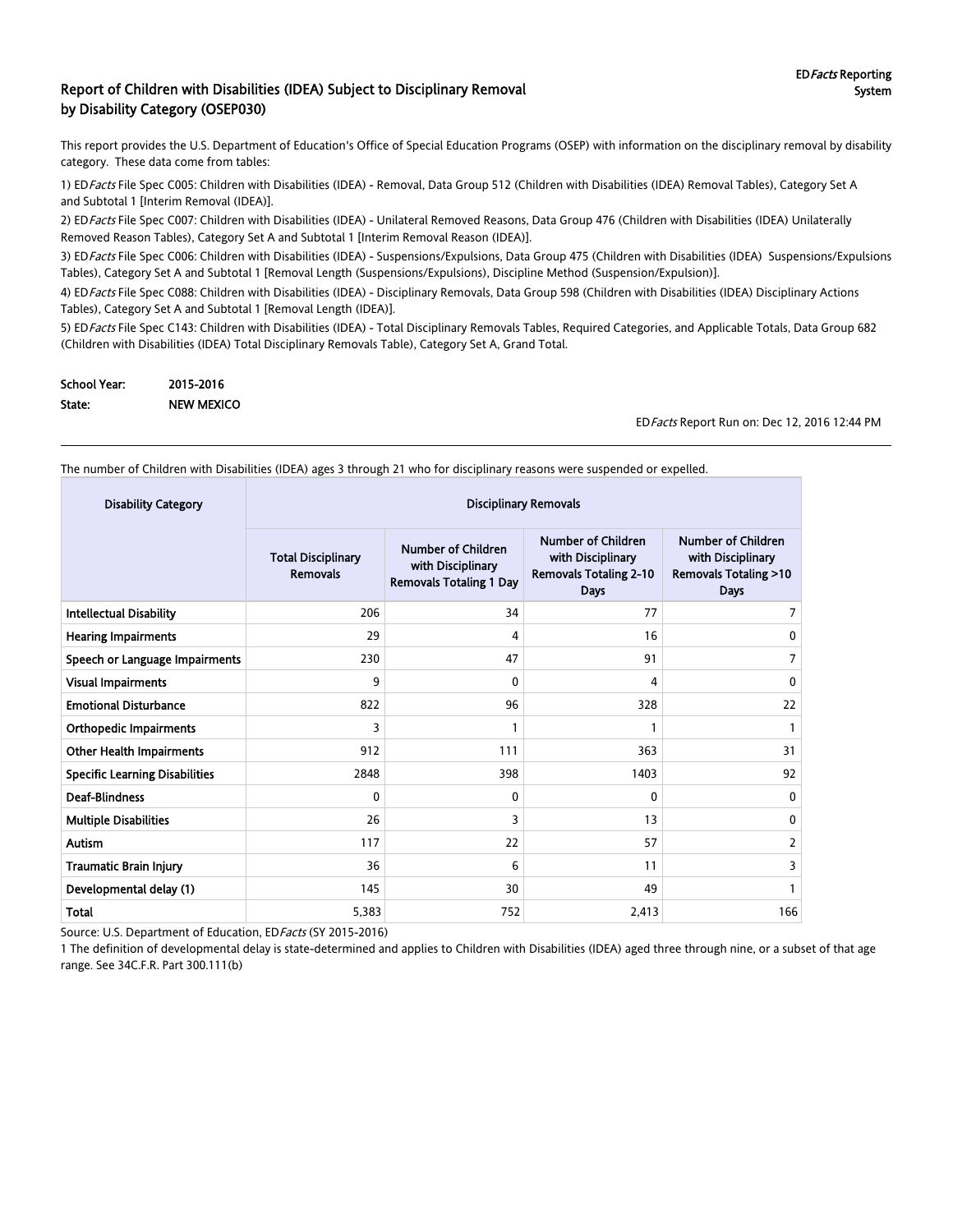#### Report of Children with Disabilities (IDEA) Subject to Disciplinary Removal by Disability Category (OSEP030)

This report provides the U.S. Department of Education's Office of Special Education Programs (OSEP) with information on the disciplinary removal by disability category. These data come from tables:

1) EDFacts File Spec C005: Children with Disabilities (IDEA) - Removal, Data Group 512 (Children with Disabilities (IDEA) Removal Tables), Category Set A and Subtotal 1 [Interim Removal (IDEA)].

2) ED Facts File Spec C007: Children with Disabilities (IDEA) - Unilateral Removed Reasons, Data Group 476 (Children with Disabilities (IDEA) Unilaterally Removed Reason Tables), Category Set A and Subtotal 1 [Interim Removal Reason (IDEA)].

3) ED Facts File Spec C006: Children with Disabilities (IDEA) - Suspensions/Expulsions, Data Group 475 (Children with Disabilities (IDEA) Suspensions/Expulsions Tables), Category Set A and Subtotal 1 [Removal Length (Suspensions/Expulsions), Discipline Method (Suspension/Expulsion)].

4) ED Facts File Spec C088: Children with Disabilities (IDEA) - Disciplinary Removals, Data Group 598 (Children with Disabilities (IDEA) Disciplinary Actions Tables), Category Set A and Subtotal 1 [Removal Length (IDEA)].

5) ED Facts File Spec C143: Children with Disabilities (IDEA) - Total Disciplinary Removals Tables, Required Categories, and Applicable Totals, Data Group 682 (Children with Disabilities (IDEA) Total Disciplinary Removals Table), Category Set A, Grand Total.

| School Year: | 2015-2016         |
|--------------|-------------------|
| State:       | <b>NEW MEXICO</b> |

EDFacts Report Run on: Dec 12, 2016 12:44 PM

The number of Children with Disabilities (IDEA) ages 3 through 21 who for disciplinary reasons were suspended or expelled.

| <b>Disability Category</b>            | <b>Disciplinary Removals</b>                 |                                                                                  |                                                                                         |                                                                                           |  |
|---------------------------------------|----------------------------------------------|----------------------------------------------------------------------------------|-----------------------------------------------------------------------------------------|-------------------------------------------------------------------------------------------|--|
|                                       | <b>Total Disciplinary</b><br><b>Removals</b> | <b>Number of Children</b><br>with Disciplinary<br><b>Removals Totaling 1 Day</b> | Number of Children<br>with Disciplinary<br><b>Removals Totaling 2-10</b><br><b>Days</b> | Number of Children<br>with Disciplinary<br><b>Removals Totaling &gt;10</b><br><b>Days</b> |  |
| <b>Intellectual Disability</b>        | 206                                          | 34                                                                               | 77                                                                                      |                                                                                           |  |
| <b>Hearing Impairments</b>            | 29                                           | 4                                                                                | 16                                                                                      | 0                                                                                         |  |
| Speech or Language Impairments        | 230                                          | 47                                                                               | 91                                                                                      | 7                                                                                         |  |
| <b>Visual Impairments</b>             | 9                                            | $\mathbf{0}$                                                                     | 4                                                                                       | 0                                                                                         |  |
| <b>Emotional Disturbance</b>          | 822                                          | 96                                                                               | 328                                                                                     | 22                                                                                        |  |
| <b>Orthopedic Impairments</b>         | 3                                            |                                                                                  |                                                                                         |                                                                                           |  |
| <b>Other Health Impairments</b>       | 912                                          | 111                                                                              | 363                                                                                     | 31                                                                                        |  |
| <b>Specific Learning Disabilities</b> | 2848                                         | 398                                                                              | 1403                                                                                    | 92                                                                                        |  |
| <b>Deaf-Blindness</b>                 | 0                                            | $\mathbf{0}$                                                                     | $\Omega$                                                                                | 0                                                                                         |  |
| <b>Multiple Disabilities</b>          | 26                                           | 3                                                                                | 13                                                                                      | 0                                                                                         |  |
| <b>Autism</b>                         | 117                                          | 22                                                                               | 57                                                                                      | 2                                                                                         |  |
| <b>Traumatic Brain Injury</b>         | 36                                           | 6                                                                                | 11                                                                                      | 3                                                                                         |  |
| Developmental delay (1)               | 145                                          | 30                                                                               | 49                                                                                      |                                                                                           |  |
| Total                                 | 5,383                                        | 752                                                                              | 2,413                                                                                   | 166                                                                                       |  |

Source: U.S. Department of Education, ED Facts (SY 2015-2016)

1 The definition of developmental delay is state-determined and applies to Children with Disabilities (IDEA) aged three through nine, or a subset of that age range. See 34C.F.R. Part 300.111(b)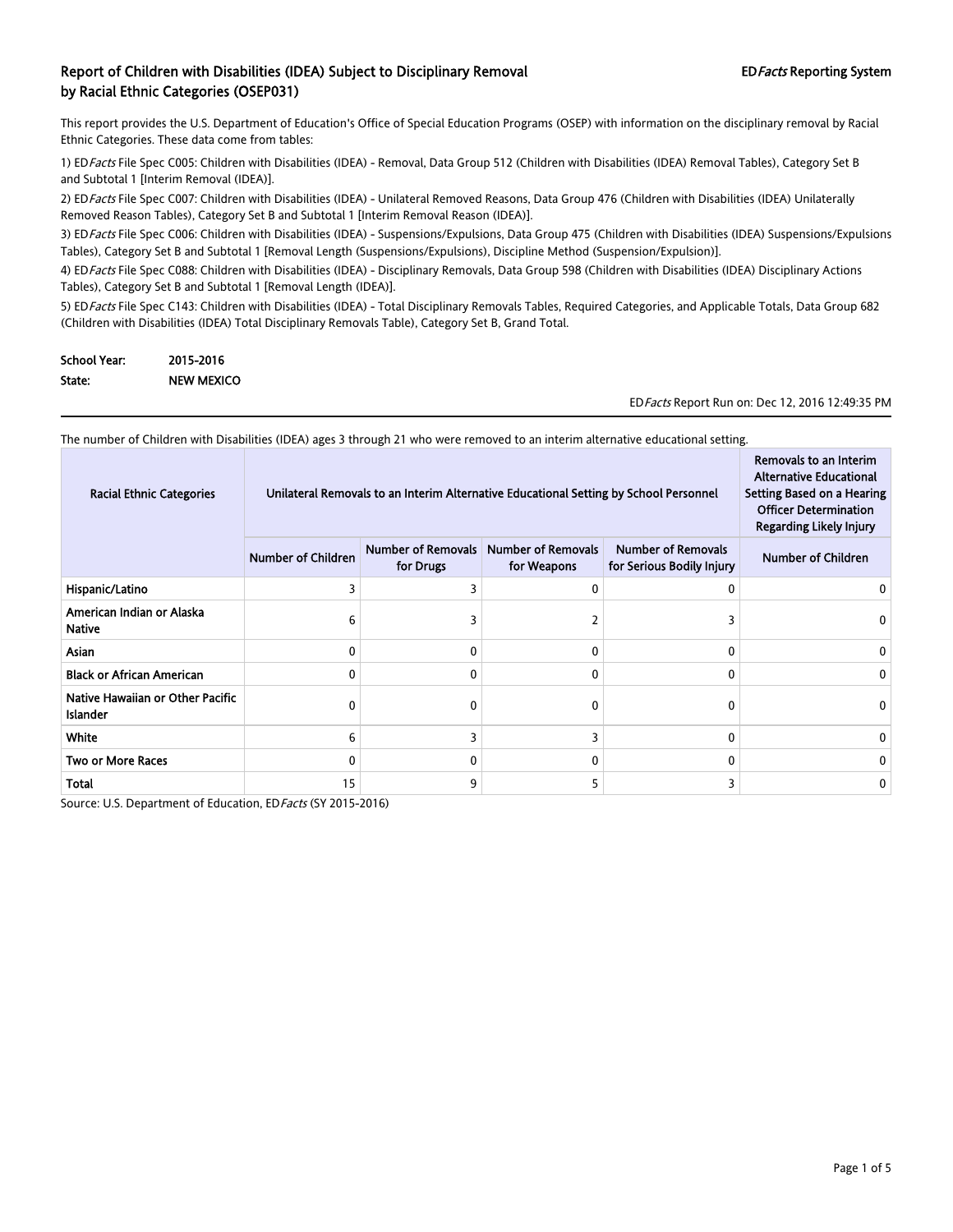This report provides the U.S. Department of Education's Office of Special Education Programs (OSEP) with information on the disciplinary removal by Racial Ethnic Categories. These data come from tables:

1) EDFacts File Spec C005: Children with Disabilities (IDEA) - Removal, Data Group 512 (Children with Disabilities (IDEA) Removal Tables), Category Set B and Subtotal 1 [Interim Removal (IDEA)].

2) ED Facts File Spec C007: Children with Disabilities (IDEA) - Unilateral Removed Reasons, Data Group 476 (Children with Disabilities (IDEA) Unilaterally Removed Reason Tables), Category Set B and Subtotal 1 [Interim Removal Reason (IDEA)].

3) EDFacts File Spec C006: Children with Disabilities (IDEA) - Suspensions/Expulsions, Data Group 475 (Children with Disabilities (IDEA) Suspensions/Expulsions Tables), Category Set B and Subtotal 1 [Removal Length (Suspensions/Expulsions), Discipline Method (Suspension/Expulsion)].

4) ED Facts File Spec C088: Children with Disabilities (IDEA) - Disciplinary Removals, Data Group 598 (Children with Disabilities (IDEA) Disciplinary Actions Tables), Category Set B and Subtotal 1 [Removal Length (IDEA)].

5) ED Facts File Spec C143: Children with Disabilities (IDEA) - Total Disciplinary Removals Tables, Required Categories, and Applicable Totals, Data Group 682 (Children with Disabilities (IDEA) Total Disciplinary Removals Table), Category Set B, Grand Total.

| <b>School Year:</b> | 2015-2016         |
|---------------------|-------------------|
| State:              | <b>NEW MEXICO</b> |

EDFacts Report Run on: Dec 12, 2016 12:49:35 PM

| The number of Children with Disabilities (IDEA) ages 3 through 21 who were removed to an interim alternative educational setting. |                                                                                       |                                                                                                                                                   |   |              |  |  |  |
|-----------------------------------------------------------------------------------------------------------------------------------|---------------------------------------------------------------------------------------|---------------------------------------------------------------------------------------------------------------------------------------------------|---|--------------|--|--|--|
| <b>Racial Ethnic Categories</b>                                                                                                   | Unilateral Removals to an Interim Alternative Educational Setting by School Personnel | Removals to an Interim<br><b>Alternative Educational</b><br>Setting Based on a Hearing<br><b>Officer Determination</b><br>Regarding Likely Injury |   |              |  |  |  |
|                                                                                                                                   | <b>Number of Children</b>                                                             | <b>Number of Removals</b><br><b>Number of Removals</b><br><b>Number of Removals</b><br>for Drugs<br>for Weapons<br>for Serious Bodily Injury      |   |              |  |  |  |
| Hispanic/Latino                                                                                                                   |                                                                                       |                                                                                                                                                   | 0 | 0            |  |  |  |
| American Indian or Alaska<br><b>Native</b>                                                                                        | 6                                                                                     |                                                                                                                                                   |   |              |  |  |  |
| Asian                                                                                                                             | 0                                                                                     |                                                                                                                                                   | 0 | 0            |  |  |  |
| <b>Black or African American</b>                                                                                                  | 0                                                                                     |                                                                                                                                                   | 0 | 0            |  |  |  |
| Native Hawaiian or Other Pacific<br><b>Islander</b>                                                                               | 0                                                                                     |                                                                                                                                                   | 0 | 0            |  |  |  |
| White                                                                                                                             | 6                                                                                     |                                                                                                                                                   | 3 | $\mathbf{0}$ |  |  |  |
| <b>Two or More Races</b>                                                                                                          | 0                                                                                     |                                                                                                                                                   | 0 | 0            |  |  |  |
| Total                                                                                                                             | 15                                                                                    | ٩                                                                                                                                                 | 5 |              |  |  |  |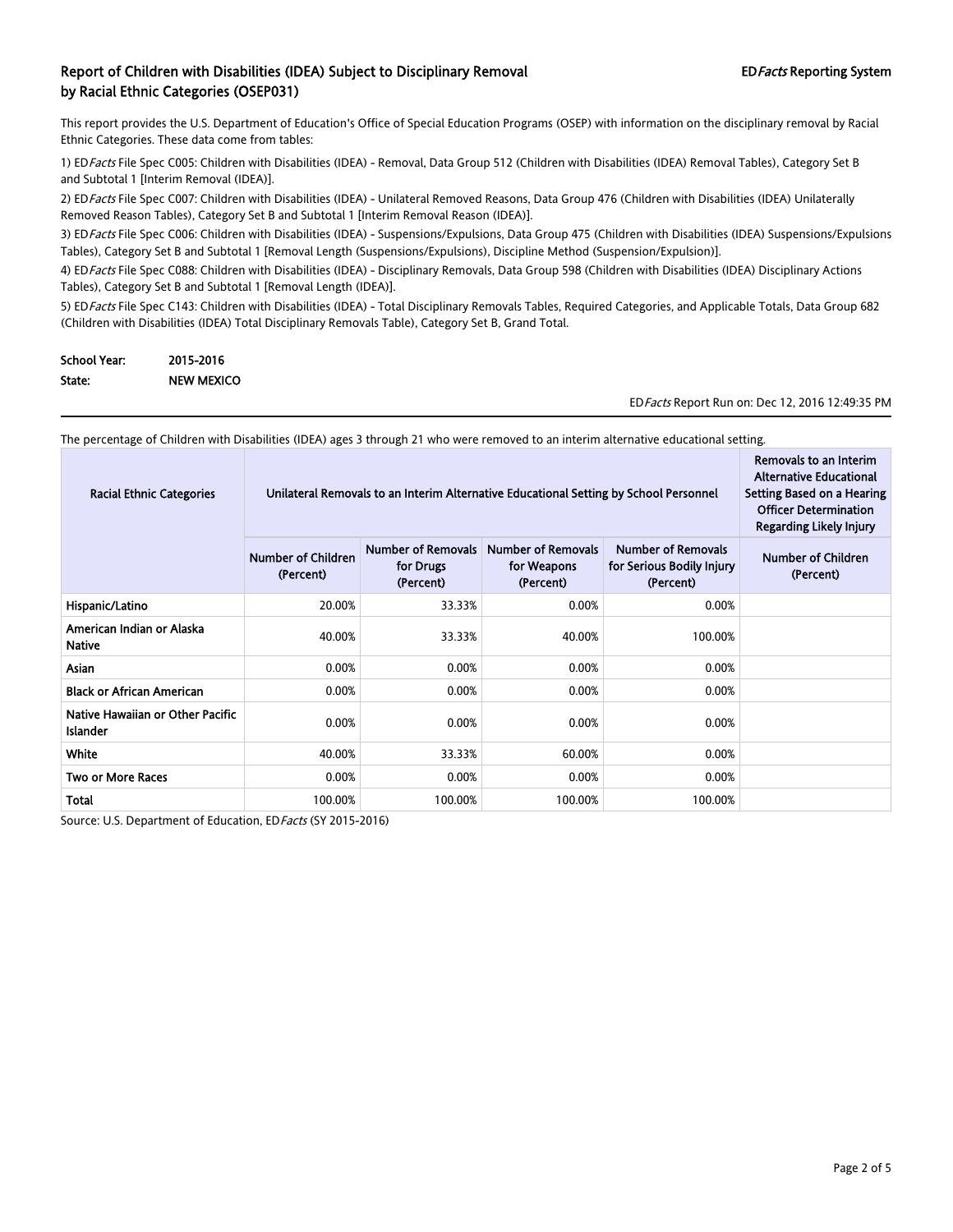This report provides the U.S. Department of Education's Office of Special Education Programs (OSEP) with information on the disciplinary removal by Racial Ethnic Categories. These data come from tables:

1) EDFacts File Spec C005: Children with Disabilities (IDEA) - Removal, Data Group 512 (Children with Disabilities (IDEA) Removal Tables), Category Set B and Subtotal 1 [Interim Removal (IDEA)].

2) ED Facts File Spec C007: Children with Disabilities (IDEA) - Unilateral Removed Reasons, Data Group 476 (Children with Disabilities (IDEA) Unilaterally Removed Reason Tables), Category Set B and Subtotal 1 [Interim Removal Reason (IDEA)].

3) ED Facts File Spec C006: Children with Disabilities (IDEA) - Suspensions/Expulsions, Data Group 475 (Children with Disabilities (IDEA) Suspensions/Expulsions Tables), Category Set B and Subtotal 1 [Removal Length (Suspensions/Expulsions), Discipline Method (Suspension/Expulsion)].

4) ED Facts File Spec C088: Children with Disabilities (IDEA) - Disciplinary Removals, Data Group 598 (Children with Disabilities (IDEA) Disciplinary Actions Tables), Category Set B and Subtotal 1 [Removal Length (IDEA)].

5) ED Facts File Spec C143: Children with Disabilities (IDEA) - Total Disciplinary Removals Tables, Required Categories, and Applicable Totals, Data Group 682 (Children with Disabilities (IDEA) Total Disciplinary Removals Table), Category Set B, Grand Total.

| <b>School Year:</b> | 2015-2016         |
|---------------------|-------------------|
| State:              | <b>NEW MEXICO</b> |

EDFacts Report Run on: Dec 12, 2016 12:49:35 PM

The percentage of Children with Disabilities (IDEA) ages 3 through 21 who were removed to an interim alternative educational setting.

| <b>Racial Ethnic Categories</b>                     | Unilateral Removals to an Interim Alternative Educational Setting by School Personnel | Removals to an Interim<br><b>Alternative Educational</b><br>Setting Based on a Hearing<br><b>Officer Determination</b><br><b>Regarding Likely Injury</b> |         |         |  |
|-----------------------------------------------------|---------------------------------------------------------------------------------------|----------------------------------------------------------------------------------------------------------------------------------------------------------|---------|---------|--|
|                                                     | <b>Number of Children</b><br>(Percent)                                                | Number of Children<br>(Percent)                                                                                                                          |         |         |  |
| Hispanic/Latino                                     | 20.00%                                                                                | 33.33%                                                                                                                                                   | 0.00%   | 0.00%   |  |
| American Indian or Alaska<br><b>Native</b>          | 40.00%                                                                                | 33.33%                                                                                                                                                   | 40.00%  | 100.00% |  |
| Asian                                               | 0.00%                                                                                 | 0.00%                                                                                                                                                    | 0.00%   | 0.00%   |  |
| <b>Black or African American</b>                    | 0.00%                                                                                 | 0.00%                                                                                                                                                    | 0.00%   | 0.00%   |  |
| Native Hawaiian or Other Pacific<br><b>Islander</b> | 0.00%                                                                                 | 0.00%                                                                                                                                                    | 0.00%   | 0.00%   |  |
| White                                               | 40.00%                                                                                | 33.33%                                                                                                                                                   | 60.00%  | 0.00%   |  |
| <b>Two or More Races</b>                            | 0.00%                                                                                 | 0.00%                                                                                                                                                    | 0.00%   | 0.00%   |  |
| Total                                               | 100.00%                                                                               | 100.00%                                                                                                                                                  | 100.00% | 100.00% |  |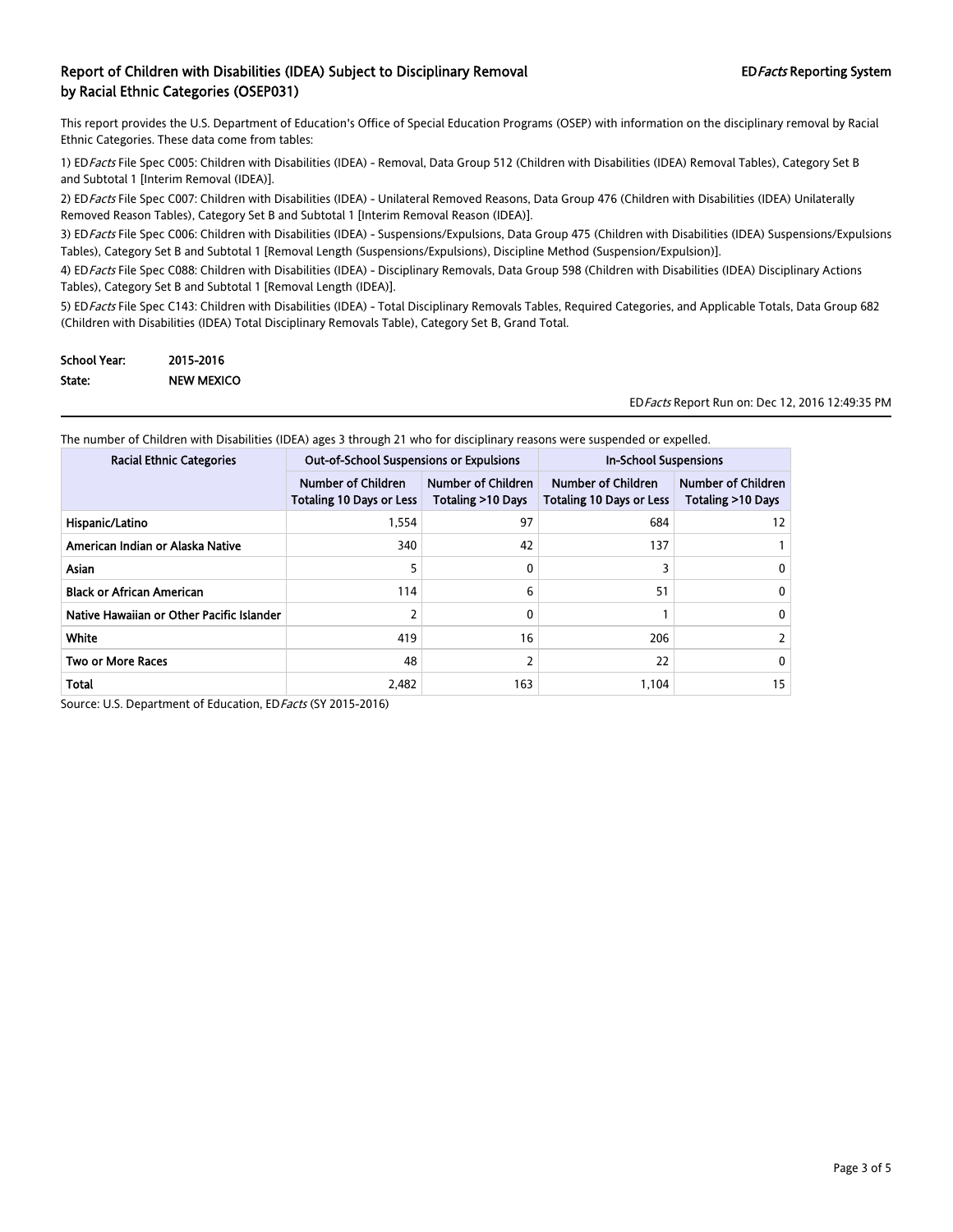This report provides the U.S. Department of Education's Office of Special Education Programs (OSEP) with information on the disciplinary removal by Racial Ethnic Categories. These data come from tables:

1) EDFacts File Spec C005: Children with Disabilities (IDEA) - Removal, Data Group 512 (Children with Disabilities (IDEA) Removal Tables), Category Set B and Subtotal 1 [Interim Removal (IDEA)].

2) ED Facts File Spec C007: Children with Disabilities (IDEA) - Unilateral Removed Reasons, Data Group 476 (Children with Disabilities (IDEA) Unilaterally Removed Reason Tables), Category Set B and Subtotal 1 [Interim Removal Reason (IDEA)].

3) ED Facts File Spec C006: Children with Disabilities (IDEA) - Suspensions/Expulsions, Data Group 475 (Children with Disabilities (IDEA) Suspensions/Expulsions Tables), Category Set B and Subtotal 1 [Removal Length (Suspensions/Expulsions), Discipline Method (Suspension/Expulsion)].

4) ED Facts File Spec C088: Children with Disabilities (IDEA) - Disciplinary Removals, Data Group 598 (Children with Disabilities (IDEA) Disciplinary Actions Tables), Category Set B and Subtotal 1 [Removal Length (IDEA)].

5) ED Facts File Spec C143: Children with Disabilities (IDEA) - Total Disciplinary Removals Tables, Required Categories, and Applicable Totals, Data Group 682 (Children with Disabilities (IDEA) Total Disciplinary Removals Table), Category Set B, Grand Total.

| <b>School Year:</b> | 2015-2016         |
|---------------------|-------------------|
| State:              | <b>NEW MEXICO</b> |

EDFacts Report Run on: Dec 12, 2016 12:49:35 PM

The number of Children with Disabilities (IDEA) ages 3 through 21 who for disciplinary reasons were suspended or expelled.

| <b>Racial Ethnic Categories</b>           | <b>Out-of-School Suspensions or Expulsions</b>               |                                                          | <b>In-School Suspensions</b>                          |                                         |
|-------------------------------------------|--------------------------------------------------------------|----------------------------------------------------------|-------------------------------------------------------|-----------------------------------------|
|                                           | <b>Number of Children</b><br><b>Totaling 10 Days or Less</b> | <b>Number of Children</b><br><b>Totaling &gt;10 Days</b> | Number of Children<br><b>Totaling 10 Days or Less</b> | Number of Children<br>Totaling >10 Days |
| Hispanic/Latino                           | 1,554                                                        | 97                                                       | 684                                                   | 12                                      |
| American Indian or Alaska Native          | 340                                                          | 42                                                       | 137                                                   |                                         |
| <b>Asian</b>                              | 5                                                            | 0                                                        |                                                       | 0                                       |
| <b>Black or African American</b>          | 114                                                          | 6                                                        | 51                                                    | 0                                       |
| Native Hawaiian or Other Pacific Islander |                                                              | 0                                                        |                                                       | 0                                       |
| White                                     | 419                                                          | 16                                                       | 206                                                   |                                         |
| <b>Two or More Races</b>                  | 48                                                           |                                                          | 22                                                    | 0                                       |
| <b>Total</b>                              | 2.482                                                        | 163                                                      | 1.104                                                 | 15                                      |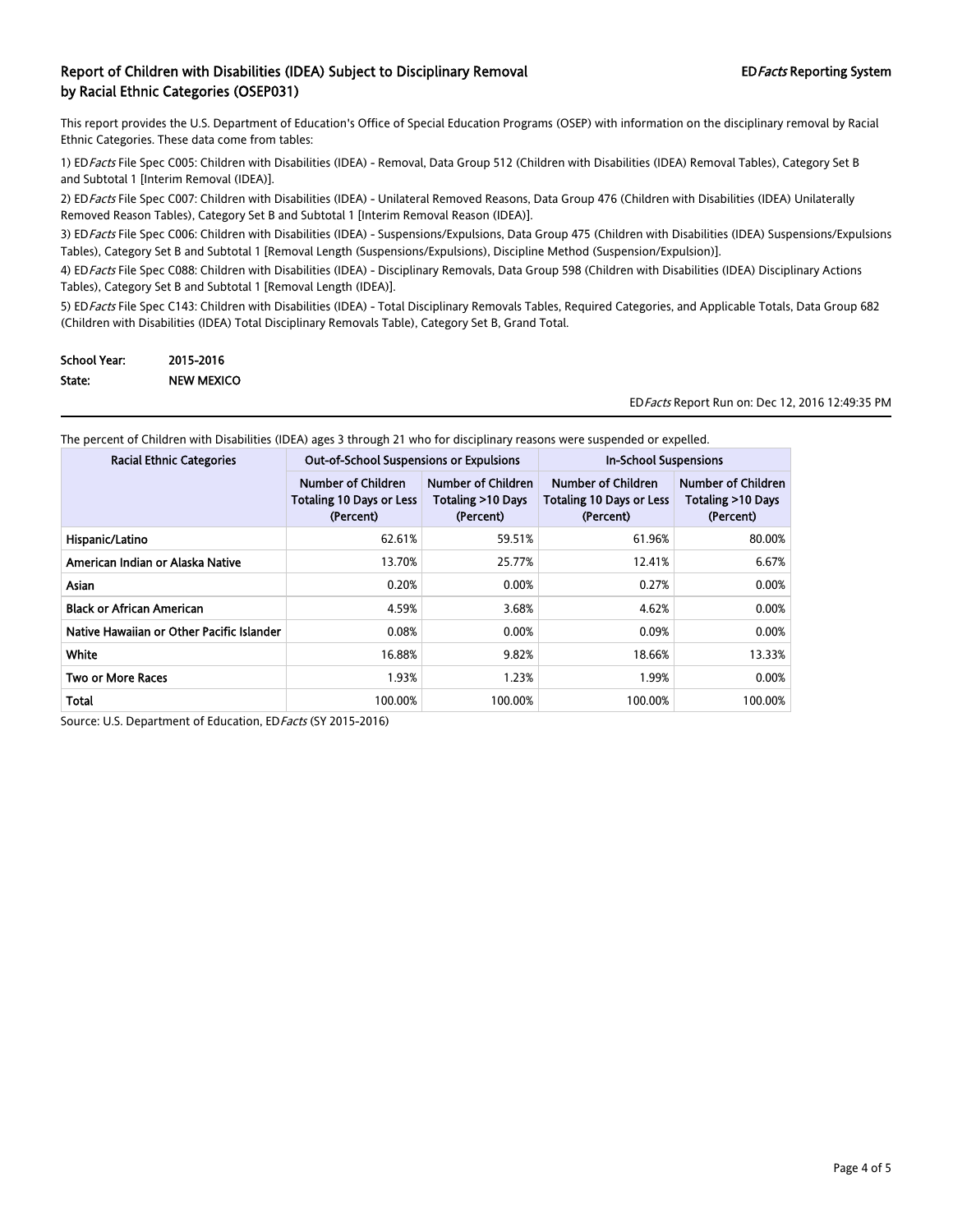This report provides the U.S. Department of Education's Office of Special Education Programs (OSEP) with information on the disciplinary removal by Racial Ethnic Categories. These data come from tables:

1) EDFacts File Spec C005: Children with Disabilities (IDEA) - Removal, Data Group 512 (Children with Disabilities (IDEA) Removal Tables), Category Set B and Subtotal 1 [Interim Removal (IDEA)].

2) ED Facts File Spec C007: Children with Disabilities (IDEA) - Unilateral Removed Reasons, Data Group 476 (Children with Disabilities (IDEA) Unilaterally Removed Reason Tables), Category Set B and Subtotal 1 [Interim Removal Reason (IDEA)].

3) ED Facts File Spec C006: Children with Disabilities (IDEA) - Suspensions/Expulsions, Data Group 475 (Children with Disabilities (IDEA) Suspensions/Expulsions Tables), Category Set B and Subtotal 1 [Removal Length (Suspensions/Expulsions), Discipline Method (Suspension/Expulsion)].

4) ED Facts File Spec C088: Children with Disabilities (IDEA) - Disciplinary Removals, Data Group 598 (Children with Disabilities (IDEA) Disciplinary Actions Tables), Category Set B and Subtotal 1 [Removal Length (IDEA)].

5) ED Facts File Spec C143: Children with Disabilities (IDEA) - Total Disciplinary Removals Tables, Required Categories, and Applicable Totals, Data Group 682 (Children with Disabilities (IDEA) Total Disciplinary Removals Table), Category Set B, Grand Total.

| <b>School Year:</b> | 2015-2016         |
|---------------------|-------------------|
| State:              | <b>NEW MEXICO</b> |

EDFacts Report Run on: Dec 12, 2016 12:49:35 PM

| <b>Racial Ethnic Categories</b>           | <b>Out-of-School Suspensions or Expulsions</b>                            |                                                             | <b>In-School Suspensions</b>                                       |                                                      |
|-------------------------------------------|---------------------------------------------------------------------------|-------------------------------------------------------------|--------------------------------------------------------------------|------------------------------------------------------|
|                                           | <b>Number of Children</b><br><b>Totaling 10 Days or Less</b><br>(Percent) | <b>Number of Children</b><br>Totaling >10 Days<br>(Percent) | Number of Children<br><b>Totaling 10 Days or Less</b><br>(Percent) | Number of Children<br>Totaling >10 Days<br>(Percent) |
| Hispanic/Latino                           | 62.61%                                                                    | 59.51%                                                      | 61.96%                                                             | 80.00%                                               |
| American Indian or Alaska Native          | 13.70%                                                                    | 25.77%                                                      | 12.41%                                                             | 6.67%                                                |
| Asian                                     | 0.20%                                                                     | 0.00%                                                       | 0.27%                                                              | 0.00%                                                |
| <b>Black or African American</b>          | 4.59%                                                                     | 3.68%                                                       | 4.62%                                                              | 0.00%                                                |
| Native Hawaiian or Other Pacific Islander | 0.08%                                                                     | 0.00%                                                       | 0.09%                                                              | 0.00%                                                |
| White                                     | 16.88%                                                                    | 9.82%                                                       | 18.66%                                                             | 13.33%                                               |
| <b>Two or More Races</b>                  | 1.93%                                                                     | 1.23%                                                       | 1.99%                                                              | 0.00%                                                |
| Total                                     | 100.00%                                                                   | 100.00%                                                     | 100.00%                                                            | 100.00%                                              |

The percent of Children with Disabilities (IDEA) ages 3 through 21 who for disciplinary reasons were suspended or expelled.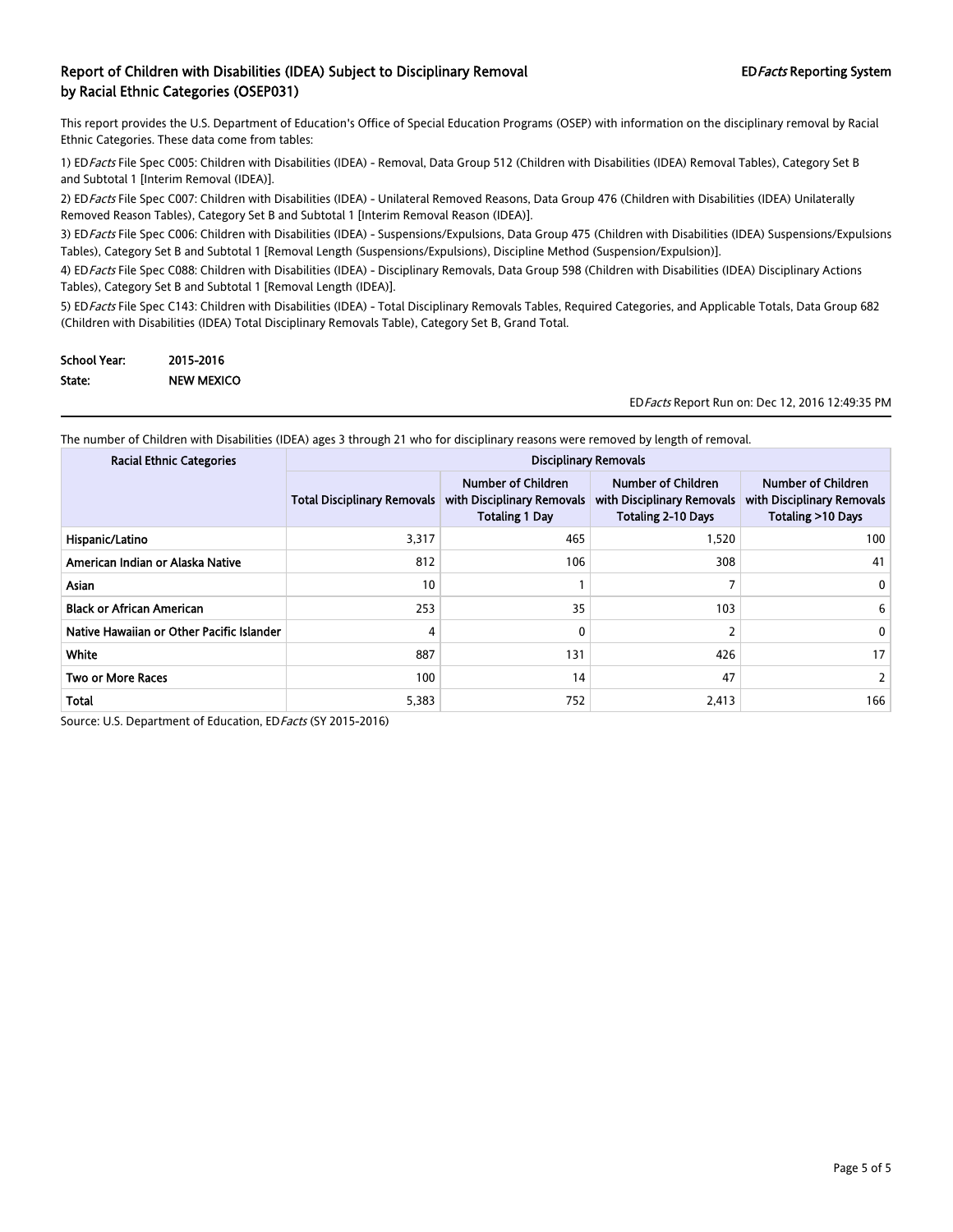This report provides the U.S. Department of Education's Office of Special Education Programs (OSEP) with information on the disciplinary removal by Racial Ethnic Categories. These data come from tables:

1) EDFacts File Spec C005: Children with Disabilities (IDEA) - Removal, Data Group 512 (Children with Disabilities (IDEA) Removal Tables), Category Set B and Subtotal 1 [Interim Removal (IDEA)].

2) ED Facts File Spec C007: Children with Disabilities (IDEA) - Unilateral Removed Reasons, Data Group 476 (Children with Disabilities (IDEA) Unilaterally Removed Reason Tables), Category Set B and Subtotal 1 [Interim Removal Reason (IDEA)].

3) ED Facts File Spec C006: Children with Disabilities (IDEA) - Suspensions/Expulsions, Data Group 475 (Children with Disabilities (IDEA) Suspensions/Expulsions Tables), Category Set B and Subtotal 1 [Removal Length (Suspensions/Expulsions), Discipline Method (Suspension/Expulsion)].

4) ED Facts File Spec C088: Children with Disabilities (IDEA) - Disciplinary Removals, Data Group 598 (Children with Disabilities (IDEA) Disciplinary Actions Tables), Category Set B and Subtotal 1 [Removal Length (IDEA)].

5) ED Facts File Spec C143: Children with Disabilities (IDEA) - Total Disciplinary Removals Tables, Required Categories, and Applicable Totals, Data Group 682 (Children with Disabilities (IDEA) Total Disciplinary Removals Table), Category Set B, Grand Total.

| <b>School Year:</b> | 2015-2016         |
|---------------------|-------------------|
| State:              | <b>NEW MEXICO</b> |

EDFacts Report Run on: Dec 12, 2016 12:49:35 PM

The number of Children with Disabilities (IDEA) ages 3 through 21 who for disciplinary reasons were removed by length of removal.

| <b>Racial Ethnic Categories</b>           | <b>Disciplinary Removals</b>       |                                                                                  |                                                                               |                                                                       |
|-------------------------------------------|------------------------------------|----------------------------------------------------------------------------------|-------------------------------------------------------------------------------|-----------------------------------------------------------------------|
|                                           | <b>Total Disciplinary Removals</b> | <b>Number of Children</b><br>with Disciplinary Removals<br><b>Totaling 1 Day</b> | Number of Children<br>with Disciplinary Removals<br><b>Totaling 2-10 Days</b> | Number of Children<br>with Disciplinary Removals<br>Totaling >10 Days |
| Hispanic/Latino                           | 3,317                              | 465                                                                              | 1.520                                                                         | 100                                                                   |
| American Indian or Alaska Native          | 812                                | 106                                                                              | 308                                                                           | 41                                                                    |
| <b>Asian</b>                              | 10                                 |                                                                                  |                                                                               | 0                                                                     |
| <b>Black or African American</b>          | 253                                | 35                                                                               | 103                                                                           | 6                                                                     |
| Native Hawaiian or Other Pacific Islander | 4                                  | 0                                                                                | 2                                                                             | 0                                                                     |
| White                                     | 887                                | 131                                                                              | 426                                                                           | 17                                                                    |
| <b>Two or More Races</b>                  | 100                                | 14                                                                               | 47                                                                            |                                                                       |
| <b>Total</b>                              | 5,383                              | 752                                                                              | 2,413                                                                         | 166                                                                   |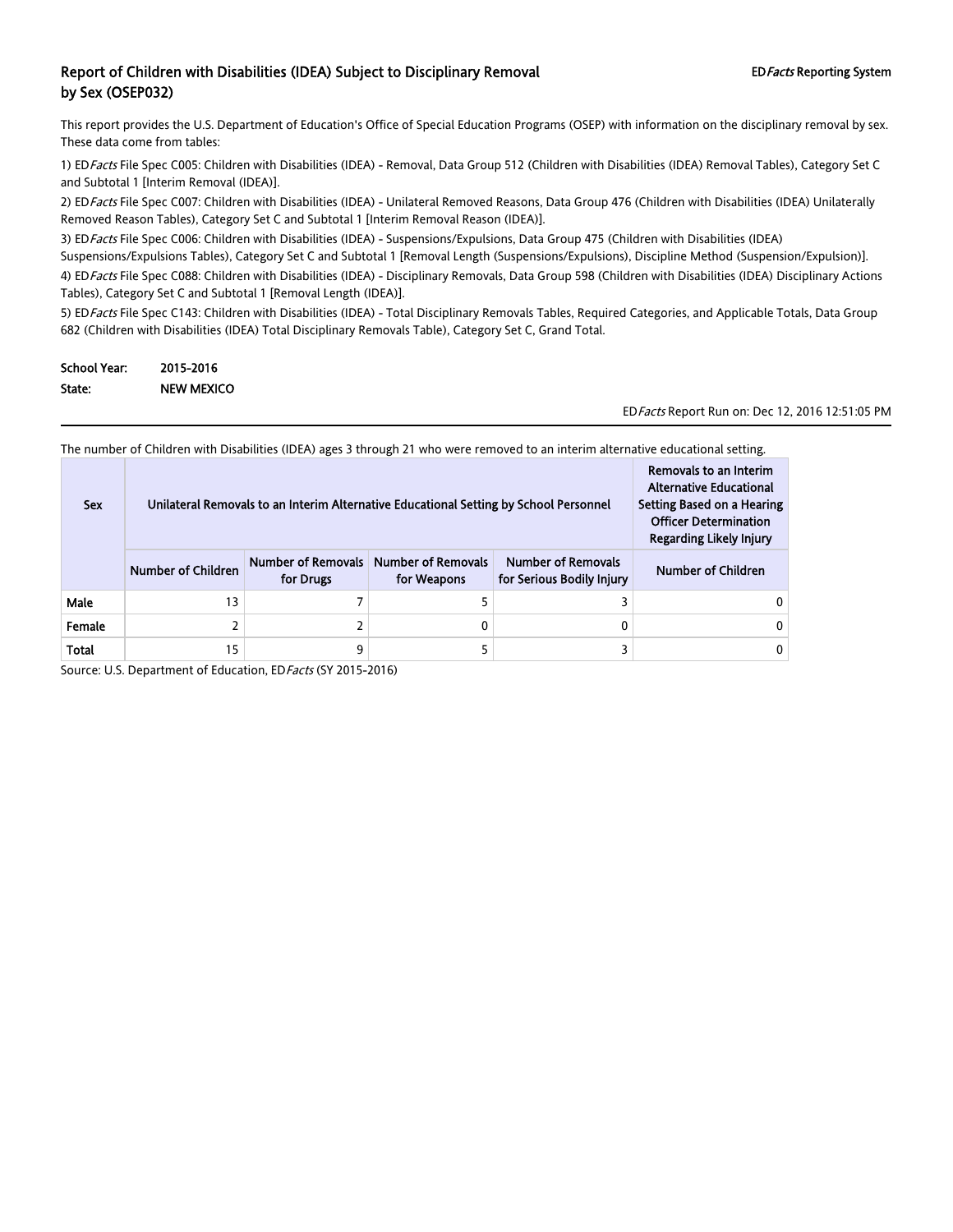This report provides the U.S. Department of Education's Office of Special Education Programs (OSEP) with information on the disciplinary removal by sex. These data come from tables:

1) ED Facts File Spec C005: Children with Disabilities (IDEA) - Removal, Data Group 512 (Children with Disabilities (IDEA) Removal Tables), Category Set C and Subtotal 1 [Interim Removal (IDEA)].

2) ED Facts File Spec C007: Children with Disabilities (IDEA) - Unilateral Removed Reasons, Data Group 476 (Children with Disabilities (IDEA) Unilaterally Removed Reason Tables), Category Set C and Subtotal 1 [Interim Removal Reason (IDEA)].

3) ED Facts File Spec C006: Children with Disabilities (IDEA) - Suspensions/Expulsions, Data Group 475 (Children with Disabilities (IDEA) Suspensions/Expulsions Tables), Category Set C and Subtotal 1 [Removal Length (Suspensions/Expulsions), Discipline Method (Suspension/Expulsion)]. 4) ED Facts File Spec C088: Children with Disabilities (IDEA) - Disciplinary Removals, Data Group 598 (Children with Disabilities (IDEA) Disciplinary Actions Tables), Category Set C and Subtotal 1 [Removal Length (IDEA)].

5) ED Facts File Spec C143: Children with Disabilities (IDEA) - Total Disciplinary Removals Tables, Required Categories, and Applicable Totals, Data Group 682 (Children with Disabilities (IDEA) Total Disciplinary Removals Table), Category Set C, Grand Total.

| <b>School Year:</b> | 2015-2016  |
|---------------------|------------|
| State:              | NEW MEXICO |

EDFacts Report Run on: Dec 12, 2016 12:51:05 PM

The number of Children with Disabilities (IDEA) ages 3 through 21 who were removed to an interim alternative educational setting.

| <b>Sex</b> | Unilateral Removals to an Interim Alternative Educational Setting by School Personnel | Removals to an Interim<br><b>Alternative Educational</b><br>Setting Based on a Hearing<br><b>Officer Determination</b><br><b>Regarding Likely Injury</b> |                                                      |                                                        |                           |
|------------|---------------------------------------------------------------------------------------|----------------------------------------------------------------------------------------------------------------------------------------------------------|------------------------------------------------------|--------------------------------------------------------|---------------------------|
|            | <b>Number of Children</b>                                                             | for Drugs                                                                                                                                                | Number of Removals Number of Removals<br>for Weapons | <b>Number of Removals</b><br>for Serious Bodily Injury | <b>Number of Children</b> |
| Male       | 13                                                                                    |                                                                                                                                                          |                                                      |                                                        |                           |
| Female     |                                                                                       |                                                                                                                                                          |                                                      |                                                        |                           |
| Total      | 15                                                                                    | 9                                                                                                                                                        |                                                      |                                                        |                           |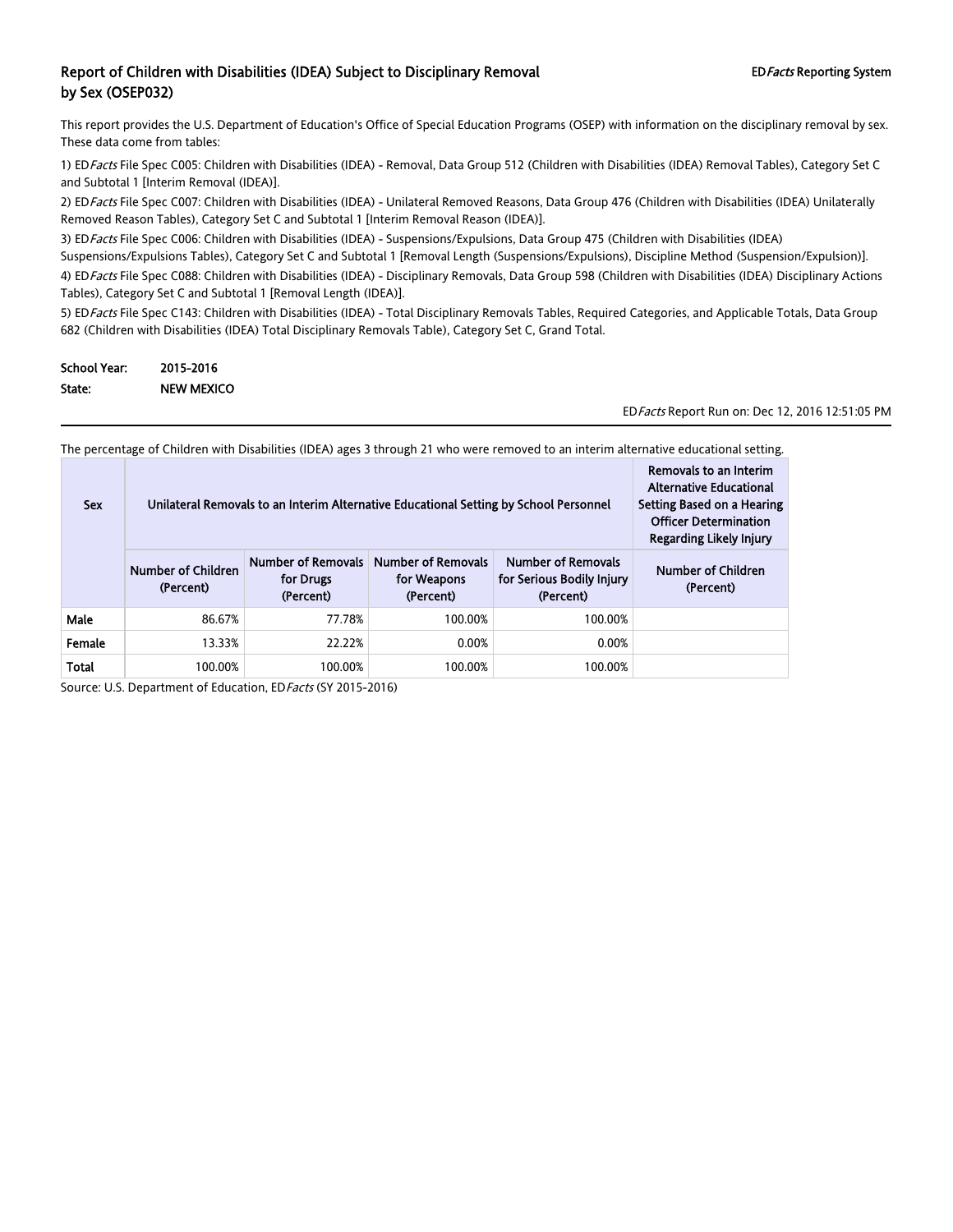This report provides the U.S. Department of Education's Office of Special Education Programs (OSEP) with information on the disciplinary removal by sex. These data come from tables:

1) ED Facts File Spec C005: Children with Disabilities (IDEA) - Removal, Data Group 512 (Children with Disabilities (IDEA) Removal Tables), Category Set C and Subtotal 1 [Interim Removal (IDEA)].

2) ED Facts File Spec C007: Children with Disabilities (IDEA) - Unilateral Removed Reasons, Data Group 476 (Children with Disabilities (IDEA) Unilaterally Removed Reason Tables), Category Set C and Subtotal 1 [Interim Removal Reason (IDEA)].

3) ED Facts File Spec C006: Children with Disabilities (IDEA) - Suspensions/Expulsions, Data Group 475 (Children with Disabilities (IDEA) Suspensions/Expulsions Tables), Category Set C and Subtotal 1 [Removal Length (Suspensions/Expulsions), Discipline Method (Suspension/Expulsion)]. 4) ED Facts File Spec C088: Children with Disabilities (IDEA) - Disciplinary Removals, Data Group 598 (Children with Disabilities (IDEA) Disciplinary Actions Tables), Category Set C and Subtotal 1 [Removal Length (IDEA)].

5) ED Facts File Spec C143: Children with Disabilities (IDEA) - Total Disciplinary Removals Tables, Required Categories, and Applicable Totals, Data Group 682 (Children with Disabilities (IDEA) Total Disciplinary Removals Table), Category Set C, Grand Total.

| <b>School Year:</b> | 2015-2016  |
|---------------------|------------|
| State:              | NEW MEXICO |

EDFacts Report Run on: Dec 12, 2016 12:51:05 PM

The percentage of Children with Disabilities (IDEA) ages 3 through 21 who were removed to an interim alternative educational setting.

| <b>Sex</b>   | Unilateral Removals to an Interim Alternative Educational Setting by School Personnel | Removals to an Interim<br><b>Alternative Educational</b><br>Setting Based on a Hearing<br><b>Officer Determination</b><br><b>Regarding Likely Injury</b> |                                                       |                                                                     |                                 |
|--------------|---------------------------------------------------------------------------------------|----------------------------------------------------------------------------------------------------------------------------------------------------------|-------------------------------------------------------|---------------------------------------------------------------------|---------------------------------|
|              | <b>Number of Children</b><br>(Percent)                                                | <b>Number of Removals</b><br>for Drugs<br>(Percent)                                                                                                      | <b>Number of Removals</b><br>for Weapons<br>(Percent) | <b>Number of Removals</b><br>for Serious Bodily Injury<br>(Percent) | Number of Children<br>(Percent) |
| Male         | 86.67%                                                                                | 77.78%                                                                                                                                                   | 100.00%                                               | 100.00%                                                             |                                 |
| Female       | 13.33%                                                                                | 22.22%                                                                                                                                                   | 0.00%                                                 | 0.00%                                                               |                                 |
| <b>Total</b> | 100.00%                                                                               | 100.00%                                                                                                                                                  | 100.00%                                               | 100.00%                                                             |                                 |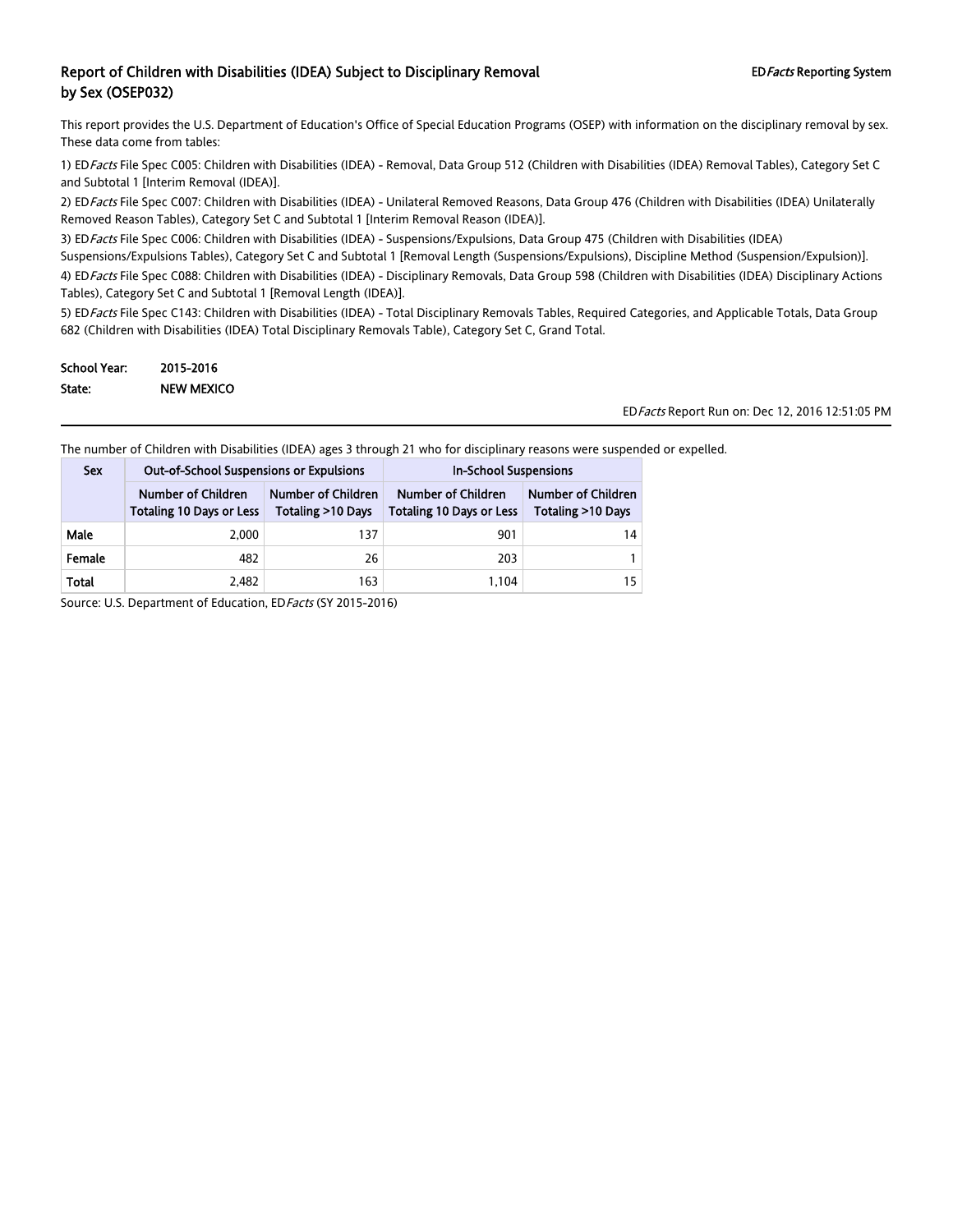This report provides the U.S. Department of Education's Office of Special Education Programs (OSEP) with information on the disciplinary removal by sex. These data come from tables:

1) ED Facts File Spec C005: Children with Disabilities (IDEA) - Removal, Data Group 512 (Children with Disabilities (IDEA) Removal Tables), Category Set C and Subtotal 1 [Interim Removal (IDEA)].

2) ED Facts File Spec C007: Children with Disabilities (IDEA) - Unilateral Removed Reasons, Data Group 476 (Children with Disabilities (IDEA) Unilaterally Removed Reason Tables), Category Set C and Subtotal 1 [Interim Removal Reason (IDEA)].

3) ED Facts File Spec C006: Children with Disabilities (IDEA) - Suspensions/Expulsions, Data Group 475 (Children with Disabilities (IDEA)

Suspensions/Expulsions Tables), Category Set C and Subtotal 1 [Removal Length (Suspensions/Expulsions), Discipline Method (Suspension/Expulsion)].

4) ED Facts File Spec C088: Children with Disabilities (IDEA) - Disciplinary Removals, Data Group 598 (Children with Disabilities (IDEA) Disciplinary Actions Tables), Category Set C and Subtotal 1 [Removal Length (IDEA)].

5) ED Facts File Spec C143: Children with Disabilities (IDEA) - Total Disciplinary Removals Tables, Required Categories, and Applicable Totals, Data Group 682 (Children with Disabilities (IDEA) Total Disciplinary Removals Table), Category Set C, Grand Total.

| School Year: | 2015-2016         |
|--------------|-------------------|
| State:       | <b>NEW MEXICO</b> |

EDFacts Report Run on: Dec 12, 2016 12:51:05 PM

The number of Children with Disabilities (IDEA) ages 3 through 21 who for disciplinary reasons were suspended or expelled.

| <b>Sex</b> | <b>Out-of-School Suspensions or Expulsions</b>                                                             |     | <b>In-School Suspensions</b>                          |                                         |  |
|------------|------------------------------------------------------------------------------------------------------------|-----|-------------------------------------------------------|-----------------------------------------|--|
|            | Number of Children<br>Number of Children<br><b>Totaling &gt;10 Days</b><br><b>Totaling 10 Days or Less</b> |     | Number of Children<br><b>Totaling 10 Days or Less</b> | Number of Children<br>Totaling >10 Days |  |
| Male       | 2.000                                                                                                      | 137 | 901                                                   | 14                                      |  |
| Female     | 482                                                                                                        | 26  | 203                                                   |                                         |  |
| Total      | 2.482                                                                                                      | 163 | 1,104                                                 | 15                                      |  |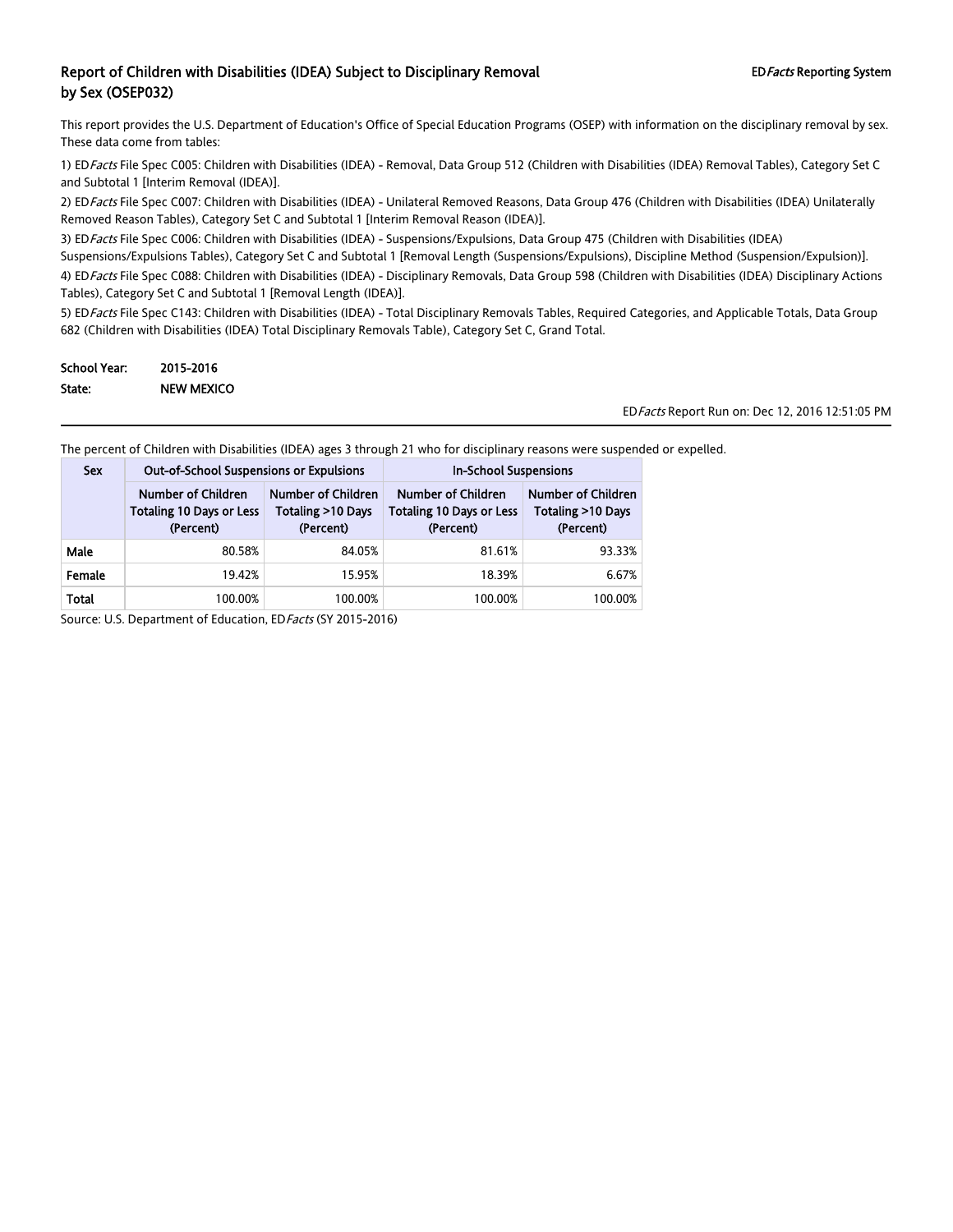This report provides the U.S. Department of Education's Office of Special Education Programs (OSEP) with information on the disciplinary removal by sex. These data come from tables:

1) ED Facts File Spec C005: Children with Disabilities (IDEA) - Removal, Data Group 512 (Children with Disabilities (IDEA) Removal Tables), Category Set C and Subtotal 1 [Interim Removal (IDEA)].

2) ED Facts File Spec C007: Children with Disabilities (IDEA) - Unilateral Removed Reasons, Data Group 476 (Children with Disabilities (IDEA) Unilaterally Removed Reason Tables), Category Set C and Subtotal 1 [Interim Removal Reason (IDEA)].

3) ED Facts File Spec C006: Children with Disabilities (IDEA) - Suspensions/Expulsions, Data Group 475 (Children with Disabilities (IDEA)

Suspensions/Expulsions Tables), Category Set C and Subtotal 1 [Removal Length (Suspensions/Expulsions), Discipline Method (Suspension/Expulsion)].

4) ED Facts File Spec C088: Children with Disabilities (IDEA) - Disciplinary Removals, Data Group 598 (Children with Disabilities (IDEA) Disciplinary Actions Tables), Category Set C and Subtotal 1 [Removal Length (IDEA)].

5) ED Facts File Spec C143: Children with Disabilities (IDEA) - Total Disciplinary Removals Tables, Required Categories, and Applicable Totals, Data Group 682 (Children with Disabilities (IDEA) Total Disciplinary Removals Table), Category Set C, Grand Total.

| School Year: | 2015-2016         |
|--------------|-------------------|
| State:       | <b>NEW MEXICO</b> |

EDFacts Report Run on: Dec 12, 2016 12:51:05 PM

The percent of Children with Disabilities (IDEA) ages 3 through 21 who for disciplinary reasons were suspended or expelled.

| <b>Sex</b> | <b>Out-of-School Suspensions or Expulsions</b>                     |                                                      | <b>In-School Suspensions</b>                                       |                                                             |  |
|------------|--------------------------------------------------------------------|------------------------------------------------------|--------------------------------------------------------------------|-------------------------------------------------------------|--|
|            | Number of Children<br><b>Totaling 10 Days or Less</b><br>(Percent) | Number of Children<br>Totaling >10 Days<br>(Percent) | Number of Children<br><b>Totaling 10 Days or Less</b><br>(Percent) | <b>Number of Children</b><br>Totaling >10 Days<br>(Percent) |  |
| Male       | 80.58%                                                             | 84.05%                                               | 81.61%                                                             | 93.33%                                                      |  |
| Female     | 19.42%                                                             | 15.95%                                               | 18.39%                                                             | 6.67%                                                       |  |
| Total      | 100.00%                                                            | 100.00%                                              | 100.00%                                                            | 100.00%                                                     |  |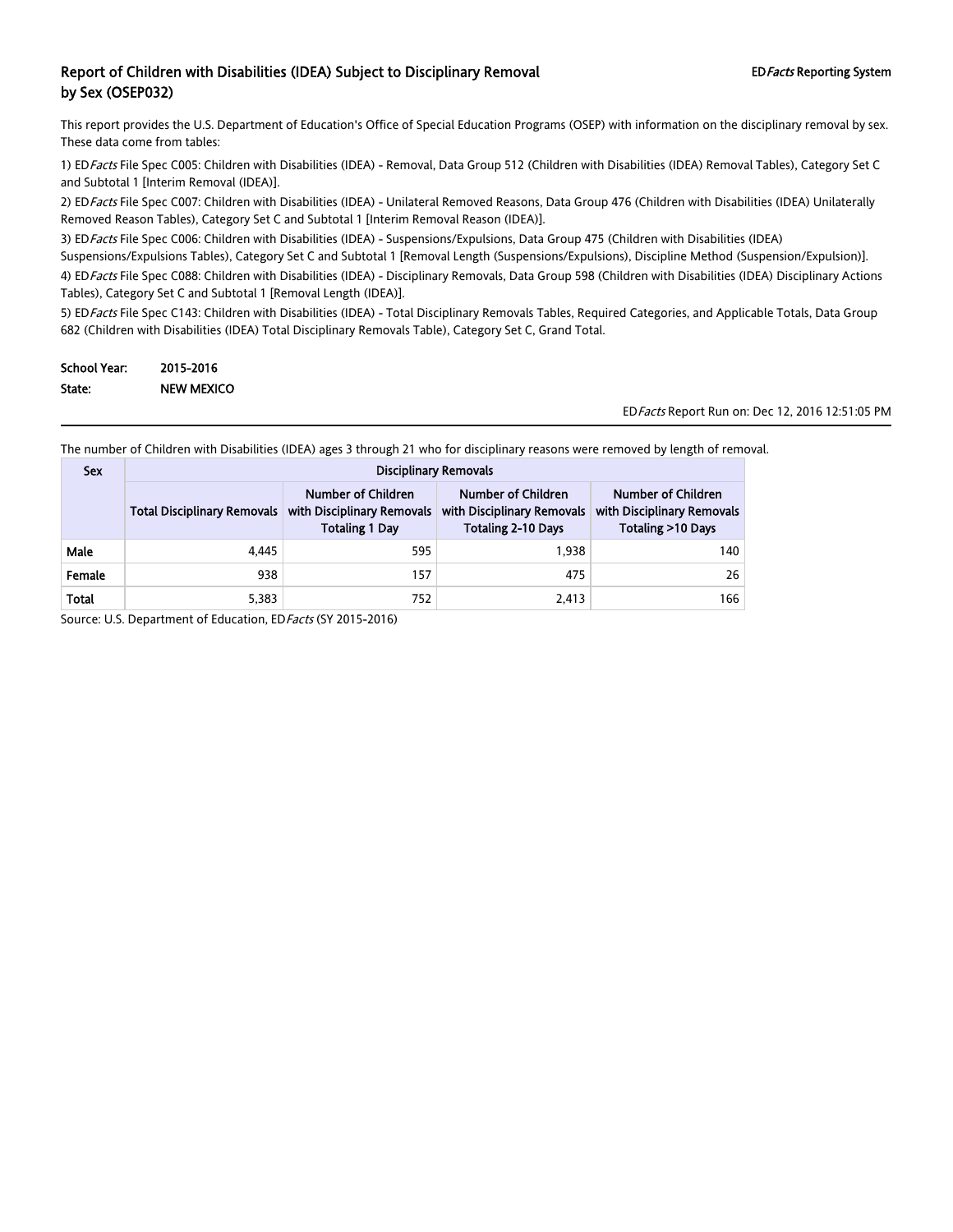This report provides the U.S. Department of Education's Office of Special Education Programs (OSEP) with information on the disciplinary removal by sex. These data come from tables:

1) ED Facts File Spec C005: Children with Disabilities (IDEA) - Removal, Data Group 512 (Children with Disabilities (IDEA) Removal Tables), Category Set C and Subtotal 1 [Interim Removal (IDEA)].

2) ED Facts File Spec C007: Children with Disabilities (IDEA) - Unilateral Removed Reasons, Data Group 476 (Children with Disabilities (IDEA) Unilaterally Removed Reason Tables), Category Set C and Subtotal 1 [Interim Removal Reason (IDEA)].

3) ED Facts File Spec C006: Children with Disabilities (IDEA) - Suspensions/Expulsions, Data Group 475 (Children with Disabilities (IDEA)

Suspensions/Expulsions Tables), Category Set C and Subtotal 1 [Removal Length (Suspensions/Expulsions), Discipline Method (Suspension/Expulsion)]. 4) ED Facts File Spec C088: Children with Disabilities (IDEA) - Disciplinary Removals, Data Group 598 (Children with Disabilities (IDEA) Disciplinary Actions Tables), Category Set C and Subtotal 1 [Removal Length (IDEA)].

5) ED Facts File Spec C143: Children with Disabilities (IDEA) - Total Disciplinary Removals Tables, Required Categories, and Applicable Totals, Data Group 682 (Children with Disabilities (IDEA) Total Disciplinary Removals Table), Category Set C, Grand Total.

| School Year: | 2015-2016         |
|--------------|-------------------|
| State:       | <b>NEW MEXICO</b> |

EDFacts Report Run on: Dec 12, 2016 12:51:05 PM

The number of Children with Disabilities (IDEA) ages 3 through 21 who for disciplinary reasons were removed by length of removal.

| <b>Sex</b> | <b>Disciplinary Removals</b>                                                                                    |     |                                                                               |                                                                       |  |  |  |
|------------|-----------------------------------------------------------------------------------------------------------------|-----|-------------------------------------------------------------------------------|-----------------------------------------------------------------------|--|--|--|
|            | Number of Children<br>with Disciplinary Removals<br><b>Total Disciplinary Removals</b><br><b>Totaling 1 Day</b> |     | Number of Children<br>with Disciplinary Removals<br><b>Totaling 2-10 Days</b> | Number of Children<br>with Disciplinary Removals<br>Totaling >10 Days |  |  |  |
| Male       | 4.445                                                                                                           | 595 | 1.938                                                                         | 140                                                                   |  |  |  |
| Female     | 938                                                                                                             | 157 | 475                                                                           | 26                                                                    |  |  |  |
| Total      | 5,383                                                                                                           | 752 | 2,413                                                                         | 166                                                                   |  |  |  |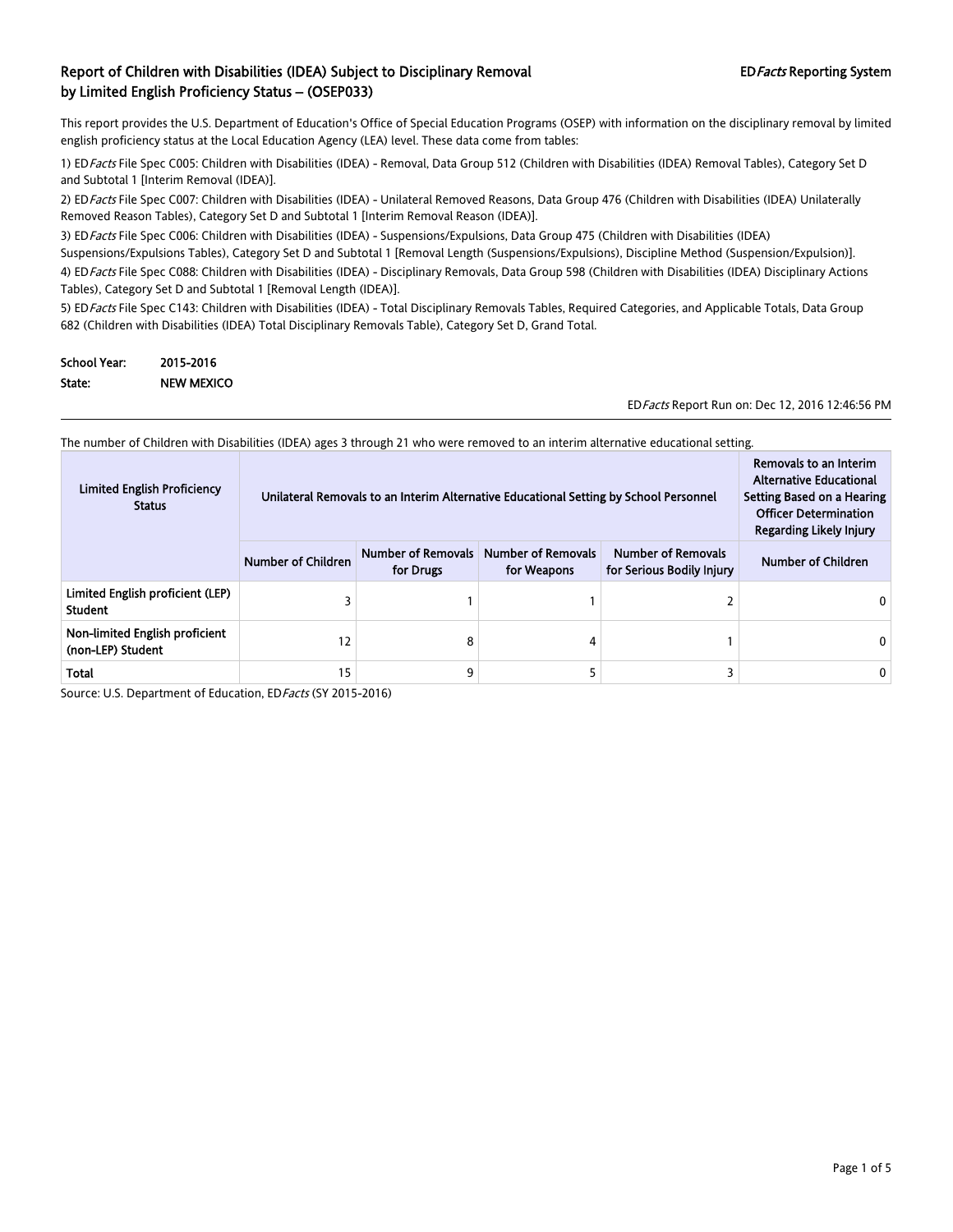This report provides the U.S. Department of Education's Office of Special Education Programs (OSEP) with information on the disciplinary removal by limited english proficiency status at the Local Education Agency (LEA) level. These data come from tables:

1) ED Facts File Spec C005: Children with Disabilities (IDEA) - Removal, Data Group 512 (Children with Disabilities (IDEA) Removal Tables), Category Set D and Subtotal 1 [Interim Removal (IDEA)].

2) ED Facts File Spec C007: Children with Disabilities (IDEA) - Unilateral Removed Reasons, Data Group 476 (Children with Disabilities (IDEA) Unilaterally Removed Reason Tables), Category Set D and Subtotal 1 [Interim Removal Reason (IDEA)].

3) ED Facts File Spec C006: Children with Disabilities (IDEA) - Suspensions/Expulsions, Data Group 475 (Children with Disabilities (IDEA) Suspensions/Expulsions Tables), Category Set D and Subtotal 1 [Removal Length (Suspensions/Expulsions), Discipline Method (Suspension/Expulsion)].

4) ED Facts File Spec C088: Children with Disabilities (IDEA) - Disciplinary Removals, Data Group 598 (Children with Disabilities (IDEA) Disciplinary Actions Tables), Category Set D and Subtotal 1 [Removal Length (IDEA)].

5) ED Facts File Spec C143: Children with Disabilities (IDEA) - Total Disciplinary Removals Tables, Required Categories, and Applicable Totals, Data Group 682 (Children with Disabilities (IDEA) Total Disciplinary Removals Table), Category Set D, Grand Total.

| <b>School Year:</b> | 2015-2016         |
|---------------------|-------------------|
| State:              | <b>NEW MEXICO</b> |

EDFacts Report Run on: Dec 12, 2016 12:46:56 PM

The number of Children with Disabilities (IDEA) ages 3 through 21 who were removed to an interim alternative educational setting.

| <b>Limited English Proficiency</b><br><b>Status</b> | Unilateral Removals to an Interim Alternative Educational Setting by School Personnel | Removals to an Interim<br><b>Alternative Educational</b><br>Setting Based on a Hearing<br><b>Officer Determination</b><br>Regarding Likely Injury |                                          |                                                        |                    |
|-----------------------------------------------------|---------------------------------------------------------------------------------------|---------------------------------------------------------------------------------------------------------------------------------------------------|------------------------------------------|--------------------------------------------------------|--------------------|
|                                                     | <b>Number of Children</b>                                                             | <b>Number of Removals</b><br>for Drugs                                                                                                            | <b>Number of Removals</b><br>for Weapons | <b>Number of Removals</b><br>for Serious Bodily Injury | Number of Children |
| Limited English proficient (LEP)<br><b>Student</b>  |                                                                                       |                                                                                                                                                   |                                          |                                                        |                    |
| Non-limited English proficient<br>(non-LEP) Student | 12                                                                                    | 8                                                                                                                                                 | 4                                        |                                                        |                    |
| <b>Total</b>                                        | 15                                                                                    | ٩                                                                                                                                                 |                                          |                                                        | 0                  |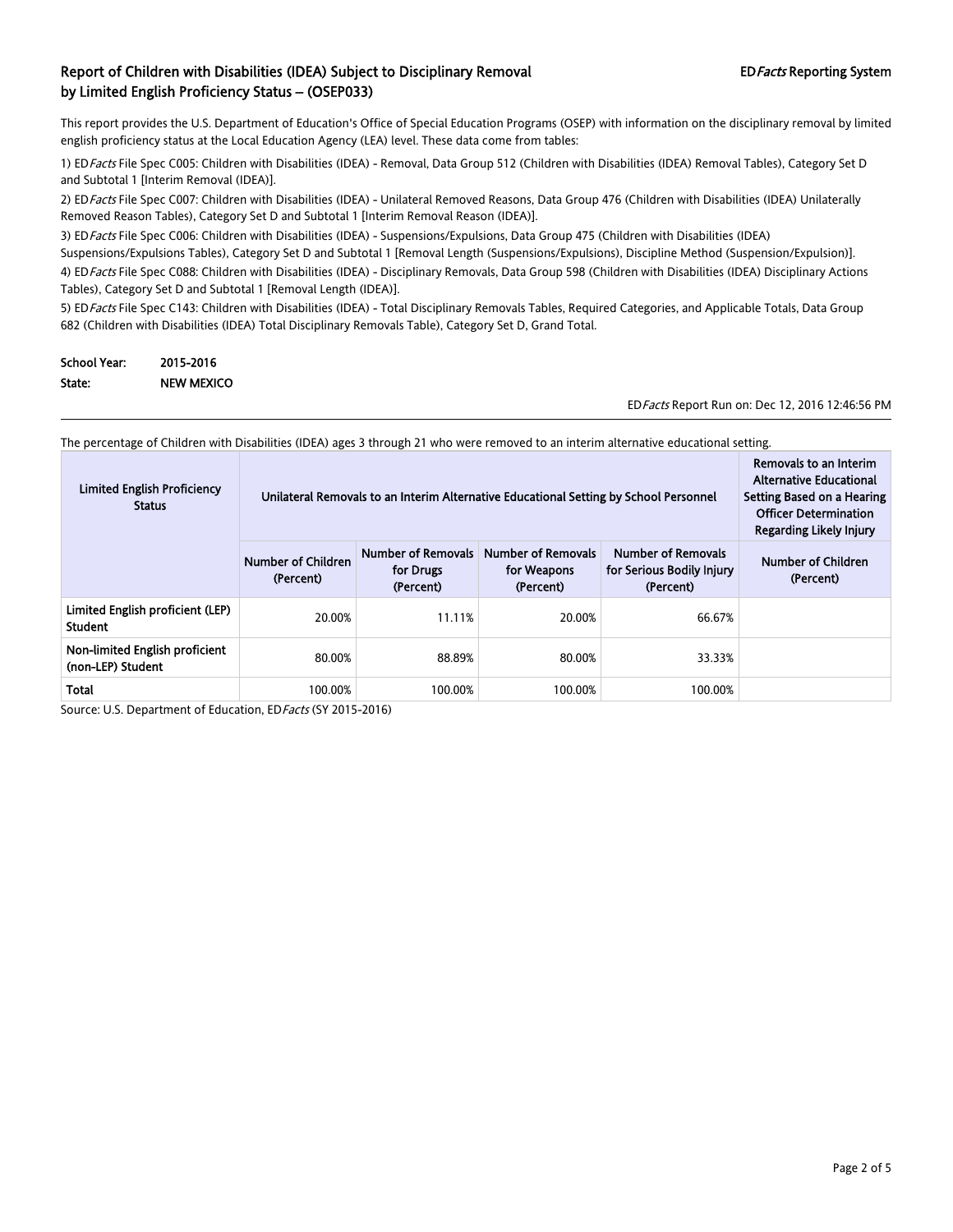This report provides the U.S. Department of Education's Office of Special Education Programs (OSEP) with information on the disciplinary removal by limited english proficiency status at the Local Education Agency (LEA) level. These data come from tables:

1) ED Facts File Spec C005: Children with Disabilities (IDEA) - Removal, Data Group 512 (Children with Disabilities (IDEA) Removal Tables), Category Set D and Subtotal 1 [Interim Removal (IDEA)].

2) ED Facts File Spec C007: Children with Disabilities (IDEA) - Unilateral Removed Reasons, Data Group 476 (Children with Disabilities (IDEA) Unilaterally Removed Reason Tables), Category Set D and Subtotal 1 [Interim Removal Reason (IDEA)].

3) ED Facts File Spec C006: Children with Disabilities (IDEA) - Suspensions/Expulsions, Data Group 475 (Children with Disabilities (IDEA) Suspensions/Expulsions Tables), Category Set D and Subtotal 1 [Removal Length (Suspensions/Expulsions), Discipline Method (Suspension/Expulsion)].

4) ED Facts File Spec C088: Children with Disabilities (IDEA) - Disciplinary Removals, Data Group 598 (Children with Disabilities (IDEA) Disciplinary Actions Tables), Category Set D and Subtotal 1 [Removal Length (IDEA)].

5) ED Facts File Spec C143: Children with Disabilities (IDEA) - Total Disciplinary Removals Tables, Required Categories, and Applicable Totals, Data Group 682 (Children with Disabilities (IDEA) Total Disciplinary Removals Table), Category Set D, Grand Total.

| <b>School Year:</b> | 2015-2016         |
|---------------------|-------------------|
| State:              | <b>NEW MEXICO</b> |

EDFacts Report Run on: Dec 12, 2016 12:46:56 PM

The percentage of Children with Disabilities (IDEA) ages 3 through 21 who were removed to an interim alternative educational setting.

| <b>Limited English Proficiency</b><br><b>Status</b> |                                 | Unilateral Removals to an Interim Alternative Educational Setting by School Personnel | Removals to an Interim<br><b>Alternative Educational</b><br>Setting Based on a Hearing<br><b>Officer Determination</b><br>Regarding Likely Injury |                                                                     |                                 |
|-----------------------------------------------------|---------------------------------|---------------------------------------------------------------------------------------|---------------------------------------------------------------------------------------------------------------------------------------------------|---------------------------------------------------------------------|---------------------------------|
|                                                     | Number of Children<br>(Percent) | Number of Removals<br>for Drugs<br>(Percent)                                          | <b>Number of Removals</b><br>for Weapons<br>(Percent)                                                                                             | <b>Number of Removals</b><br>for Serious Bodily Injury<br>(Percent) | Number of Children<br>(Percent) |
| Limited English proficient (LEP)<br><b>Student</b>  | 20.00%                          | 11.11%                                                                                | 20.00%                                                                                                                                            | 66.67%                                                              |                                 |
| Non-limited English proficient<br>(non-LEP) Student | 80.00%                          | 88.89%                                                                                | 80.00%                                                                                                                                            | 33.33%                                                              |                                 |
| Total                                               | 100.00%                         | 100.00%                                                                               | 100.00%                                                                                                                                           | 100.00%                                                             |                                 |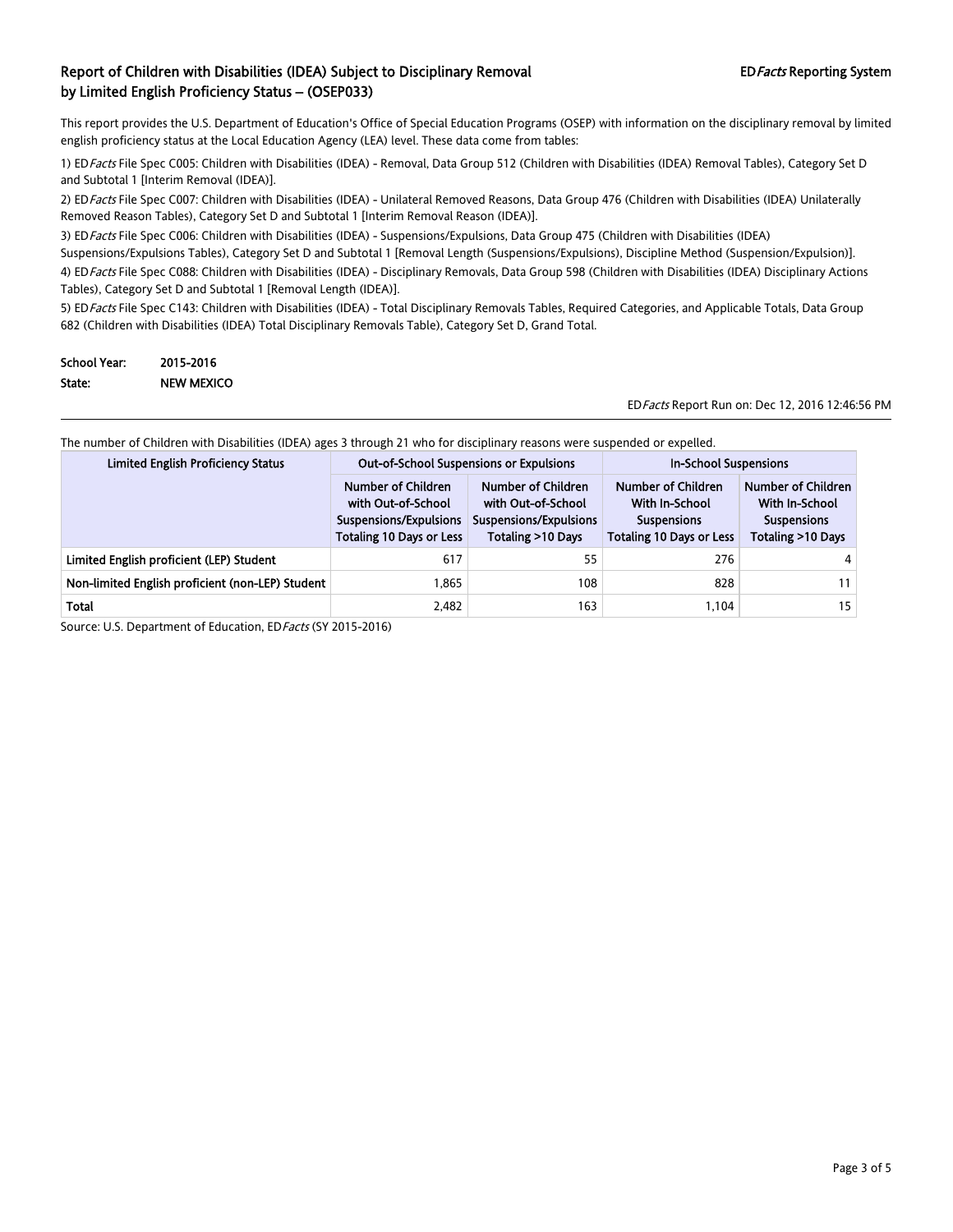This report provides the U.S. Department of Education's Office of Special Education Programs (OSEP) with information on the disciplinary removal by limited english proficiency status at the Local Education Agency (LEA) level. These data come from tables:

1) ED Facts File Spec C005: Children with Disabilities (IDEA) - Removal, Data Group 512 (Children with Disabilities (IDEA) Removal Tables), Category Set D and Subtotal 1 [Interim Removal (IDEA)].

2) ED Facts File Spec C007: Children with Disabilities (IDEA) - Unilateral Removed Reasons, Data Group 476 (Children with Disabilities (IDEA) Unilaterally Removed Reason Tables), Category Set D and Subtotal 1 [Interim Removal Reason (IDEA)].

3) ED Facts File Spec C006: Children with Disabilities (IDEA) - Suspensions/Expulsions, Data Group 475 (Children with Disabilities (IDEA)

Suspensions/Expulsions Tables), Category Set D and Subtotal 1 [Removal Length (Suspensions/Expulsions), Discipline Method (Suspension/Expulsion)]. 4) ED Facts File Spec C088: Children with Disabilities (IDEA) - Disciplinary Removals, Data Group 598 (Children with Disabilities (IDEA) Disciplinary Actions Tables), Category Set D and Subtotal 1 [Removal Length (IDEA)].

5) ED Facts File Spec C143: Children with Disabilities (IDEA) - Total Disciplinary Removals Tables, Required Categories, and Applicable Totals, Data Group 682 (Children with Disabilities (IDEA) Total Disciplinary Removals Table), Category Set D, Grand Total.

| <b>School Year:</b> | 2015-2016         |
|---------------------|-------------------|
| State:              | <b>NEW MEXICO</b> |

EDFacts Report Run on: Dec 12, 2016 12:46:56 PM

The number of Children with Disabilities (IDEA) ages 3 through 21 who for disciplinary reasons were suspended or expelled.

| <b>Limited English Proficiency Status</b>        | <b>Out-of-School Suspensions or Expulsions</b>                                                        |                                                                                         | <b>In-School Suspensions</b>                                                                  |                                                                                        |
|--------------------------------------------------|-------------------------------------------------------------------------------------------------------|-----------------------------------------------------------------------------------------|-----------------------------------------------------------------------------------------------|----------------------------------------------------------------------------------------|
|                                                  | Number of Children<br>with Out-of-School<br>Suspensions/Expulsions<br><b>Totaling 10 Days or Less</b> | Number of Children<br>with Out-of-School<br>Suspensions/Expulsions<br>Totaling >10 Days | Number of Children<br>With In-School<br><b>Suspensions</b><br><b>Totaling 10 Days or Less</b> | <b>Number of Children</b><br>With In-School<br><b>Suspensions</b><br>Totaling >10 Days |
| Limited English proficient (LEP) Student         | 617                                                                                                   | 55                                                                                      | 276                                                                                           |                                                                                        |
| Non-limited English proficient (non-LEP) Student | 1.865                                                                                                 | 108                                                                                     | 828                                                                                           |                                                                                        |
| <b>Total</b>                                     | 2,482                                                                                                 | 163                                                                                     | 1.104                                                                                         | 15                                                                                     |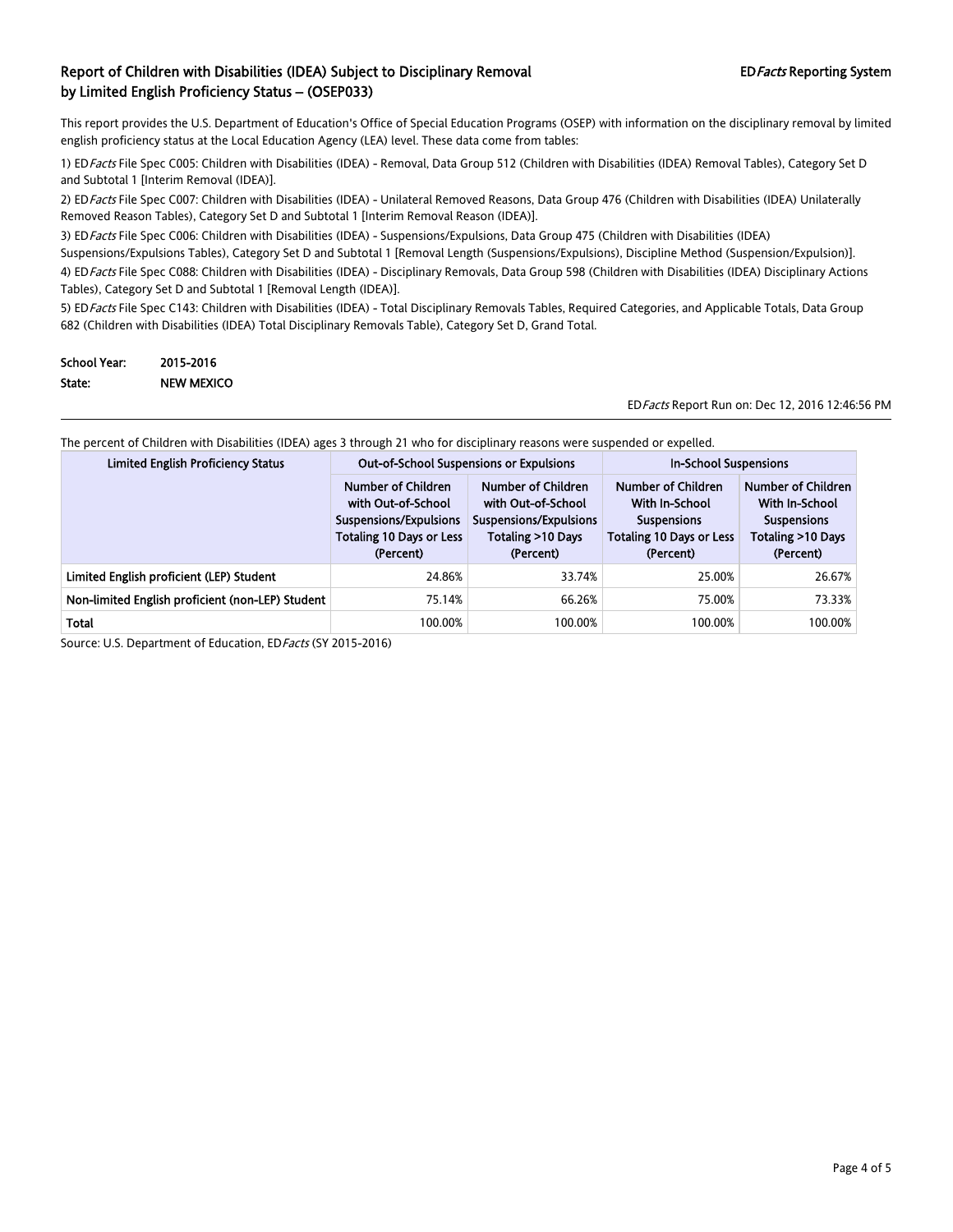This report provides the U.S. Department of Education's Office of Special Education Programs (OSEP) with information on the disciplinary removal by limited english proficiency status at the Local Education Agency (LEA) level. These data come from tables:

1) ED Facts File Spec C005: Children with Disabilities (IDEA) - Removal, Data Group 512 (Children with Disabilities (IDEA) Removal Tables), Category Set D and Subtotal 1 [Interim Removal (IDEA)].

2) ED Facts File Spec C007: Children with Disabilities (IDEA) - Unilateral Removed Reasons, Data Group 476 (Children with Disabilities (IDEA) Unilaterally Removed Reason Tables), Category Set D and Subtotal 1 [Interim Removal Reason (IDEA)].

3) ED Facts File Spec C006: Children with Disabilities (IDEA) - Suspensions/Expulsions, Data Group 475 (Children with Disabilities (IDEA) Suspensions/Expulsions Tables), Category Set D and Subtotal 1 [Removal Length (Suspensions/Expulsions), Discipline Method (Suspension/Expulsion)].

4) ED Facts File Spec C088: Children with Disabilities (IDEA) - Disciplinary Removals, Data Group 598 (Children with Disabilities (IDEA) Disciplinary Actions Tables), Category Set D and Subtotal 1 [Removal Length (IDEA)].

5) ED Facts File Spec C143: Children with Disabilities (IDEA) - Total Disciplinary Removals Tables, Required Categories, and Applicable Totals, Data Group 682 (Children with Disabilities (IDEA) Total Disciplinary Removals Table), Category Set D, Grand Total.

| <b>School Year:</b> | 2015-2016         |
|---------------------|-------------------|
| State:              | <b>NEW MEXICO</b> |

EDFacts Report Run on: Dec 12, 2016 12:46:56 PM

| The percent of Children with Disabilities (IDEA) ages 3 through 21 who for disciplinary reasons were suspended or expelled. |  |
|-----------------------------------------------------------------------------------------------------------------------------|--|
|                                                                                                                             |  |

| <b>Limited English Proficiency Status</b>        | <b>Out-of-School Suspensions or Expulsions</b>                                                                     |                                                                                                      | <b>In-School Suspensions</b>                                                                               |                                                                                              |
|--------------------------------------------------|--------------------------------------------------------------------------------------------------------------------|------------------------------------------------------------------------------------------------------|------------------------------------------------------------------------------------------------------------|----------------------------------------------------------------------------------------------|
|                                                  | Number of Children<br>with Out-of-School<br>Suspensions/Expulsions<br><b>Totaling 10 Days or Less</b><br>(Percent) | Number of Children<br>with Out-of-School<br>Suspensions/Expulsions<br>Totaling >10 Days<br>(Percent) | Number of Children<br>With In-School<br><b>Suspensions</b><br><b>Totaling 10 Days or Less</b><br>(Percent) | Number of Children<br>With In-School<br><b>Suspensions</b><br>Totaling >10 Days<br>(Percent) |
| Limited English proficient (LEP) Student         | 24.86%                                                                                                             | 33.74%                                                                                               | 25.00%                                                                                                     | 26.67%                                                                                       |
| Non-limited English proficient (non-LEP) Student | 75.14%                                                                                                             | 66.26%                                                                                               | 75.00%                                                                                                     | 73.33%                                                                                       |
| Total                                            | 100.00%                                                                                                            | 100.00%                                                                                              | 100.00%                                                                                                    | 100.00%                                                                                      |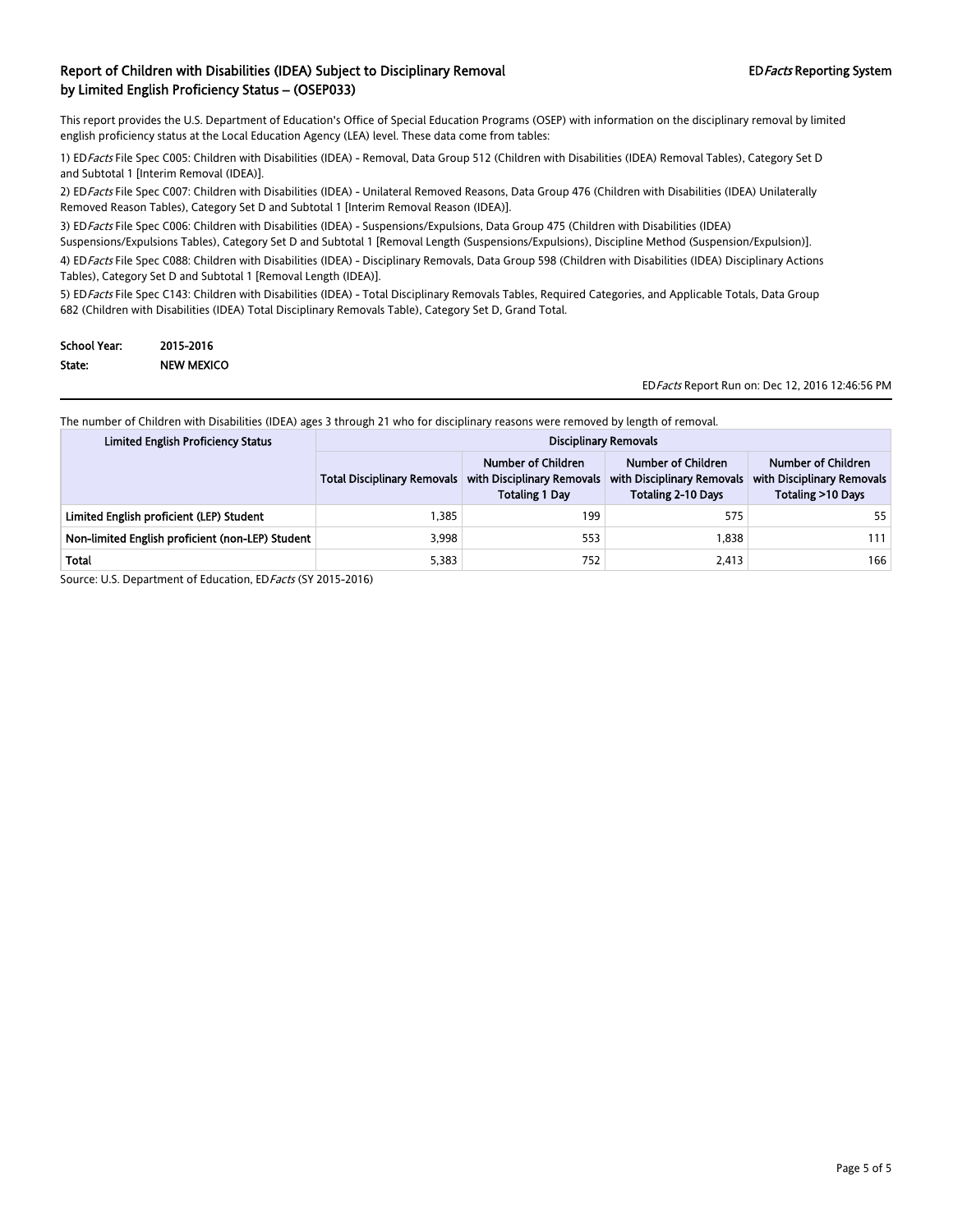This report provides the U.S. Department of Education's Office of Special Education Programs (OSEP) with information on the disciplinary removal by limited english proficiency status at the Local Education Agency (LEA) level. These data come from tables:

1) EDFacts File Spec C005: Children with Disabilities (IDEA) - Removal, Data Group 512 (Children with Disabilities (IDEA) Removal Tables), Category Set D and Subtotal 1 [Interim Removal (IDEA)].

2) EDFacts File Spec C007: Children with Disabilities (IDEA) - Unilateral Removed Reasons, Data Group 476 (Children with Disabilities (IDEA) Unilaterally Removed Reason Tables), Category Set D and Subtotal 1 [Interim Removal Reason (IDEA)].

3) ED Facts File Spec C006: Children with Disabilities (IDEA) - Suspensions/Expulsions, Data Group 475 (Children with Disabilities (IDEA)

Suspensions/Expulsions Tables), Category Set D and Subtotal 1 [Removal Length (Suspensions/Expulsions), Discipline Method (Suspension/Expulsion)].

4) EDFacts File Spec C088: Children with Disabilities (IDEA) - Disciplinary Removals, Data Group 598 (Children with Disabilities (IDEA) Disciplinary Actions Tables), Category Set D and Subtotal 1 [Removal Length (IDEA)].

5) EDFacts File Spec C143: Children with Disabilities (IDEA) - Total Disciplinary Removals Tables, Required Categories, and Applicable Totals, Data Group 682 (Children with Disabilities (IDEA) Total Disciplinary Removals Table), Category Set D, Grand Total.

| <b>School Year:</b> | 2015-2016         |
|---------------------|-------------------|
| State:              | <b>NEW MEXICO</b> |

EDFacts Report Run on: Dec 12, 2016 12:46:56 PM

The number of Children with Disabilities (IDEA) ages 3 through 21 who for disciplinary reasons were removed by length of removal.

| <b>Limited English Proficiency Status</b>        |                                    | <b>Disciplinary Removals</b>                                              |                                                                               |                                                                       |
|--------------------------------------------------|------------------------------------|---------------------------------------------------------------------------|-------------------------------------------------------------------------------|-----------------------------------------------------------------------|
|                                                  | <b>Total Disciplinary Removals</b> | Number of Children<br>with Disciplinary Removals<br><b>Totaling 1 Day</b> | Number of Children<br>with Disciplinary Removals<br><b>Totaling 2-10 Days</b> | Number of Children<br>with Disciplinary Removals<br>Totaling >10 Days |
| Limited English proficient (LEP) Student         | 1.385                              | 199                                                                       | 575                                                                           | 55                                                                    |
| Non-limited English proficient (non-LEP) Student | 3.998                              | 553                                                                       | 1.838                                                                         | 111                                                                   |
| Total                                            | 5,383                              | 752                                                                       | 2.413                                                                         | 166                                                                   |